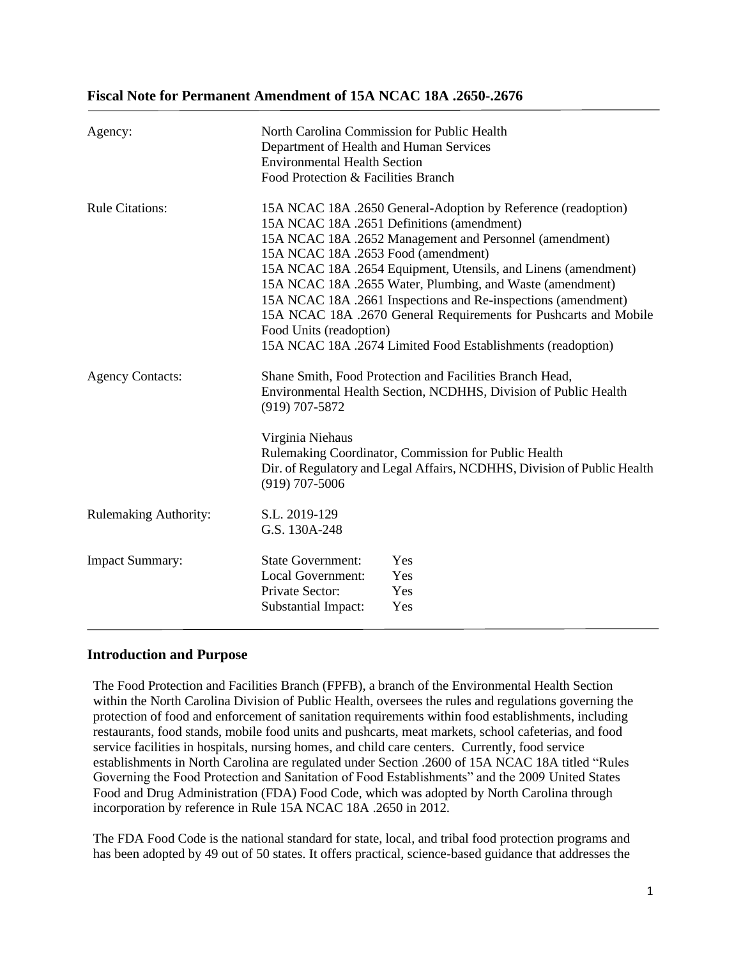# **Fiscal Note for Permanent Amendment of 15A NCAC 18A .2650-.2676**

| Agency:                      | North Carolina Commission for Public Health<br>Department of Health and Human Services<br><b>Environmental Health Section</b><br>Food Protection & Facilities Branch |                                                                                                                                                                                                                                                                                                                                                                                                                                                                                                           |
|------------------------------|----------------------------------------------------------------------------------------------------------------------------------------------------------------------|-----------------------------------------------------------------------------------------------------------------------------------------------------------------------------------------------------------------------------------------------------------------------------------------------------------------------------------------------------------------------------------------------------------------------------------------------------------------------------------------------------------|
| <b>Rule Citations:</b>       | 15A NCAC 18A .2653 Food (amendment)<br>Food Units (readoption)                                                                                                       | 15A NCAC 18A .2650 General-Adoption by Reference (readoption)<br>15A NCAC 18A .2651 Definitions (amendment)<br>15A NCAC 18A .2652 Management and Personnel (amendment)<br>15A NCAC 18A .2654 Equipment, Utensils, and Linens (amendment)<br>15A NCAC 18A .2655 Water, Plumbing, and Waste (amendment)<br>15A NCAC 18A .2661 Inspections and Re-inspections (amendment)<br>15A NCAC 18A .2670 General Requirements for Pushcarts and Mobile<br>15A NCAC 18A .2674 Limited Food Establishments (readoption) |
| <b>Agency Contacts:</b>      | $(919)$ 707-5872<br>Virginia Niehaus<br>$(919)$ 707-5006                                                                                                             | Shane Smith, Food Protection and Facilities Branch Head,<br>Environmental Health Section, NCDHHS, Division of Public Health<br>Rulemaking Coordinator, Commission for Public Health<br>Dir. of Regulatory and Legal Affairs, NCDHHS, Division of Public Health                                                                                                                                                                                                                                            |
| <b>Rulemaking Authority:</b> | S.L. 2019-129<br>G.S. 130A-248                                                                                                                                       |                                                                                                                                                                                                                                                                                                                                                                                                                                                                                                           |
| <b>Impact Summary:</b>       | <b>State Government:</b><br><b>Local Government:</b><br>Private Sector:<br><b>Substantial Impact:</b>                                                                | Yes<br>Yes<br>Yes<br>Yes                                                                                                                                                                                                                                                                                                                                                                                                                                                                                  |

# **Introduction and Purpose**

The Food Protection and Facilities Branch (FPFB), a branch of the Environmental Health Section within the North Carolina Division of Public Health, oversees the rules and regulations governing the protection of food and enforcement of sanitation requirements within food establishments, including restaurants, food stands, mobile food units and pushcarts, meat markets, school cafeterias, and food service facilities in hospitals, nursing homes, and child care centers. Currently, food service establishments in North Carolina are regulated under Section .2600 of 15A NCAC 18A titled "Rules Governing the Food Protection and Sanitation of Food Establishments" and the 2009 United States Food and Drug Administration (FDA) Food Code, which was adopted by North Carolina through incorporation by reference in Rule 15A NCAC 18A .2650 in 2012.

The FDA Food Code is the national standard for state, local, and tribal food protection programs and has been adopted by 49 out of 50 states. It offers practical, science-based guidance that addresses the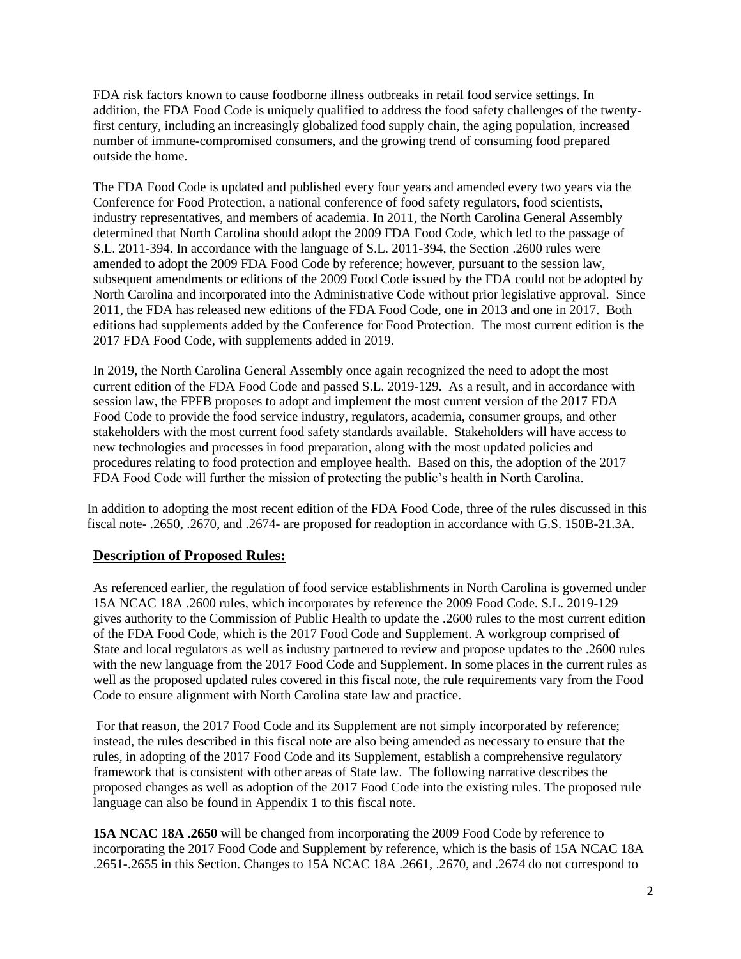FDA risk factors known to cause foodborne illness outbreaks in retail food service settings. In addition, the FDA Food Code is uniquely qualified to address the food safety challenges of the twentyfirst century, including an increasingly globalized food supply chain, the aging population, increased number of immune-compromised consumers, and the growing trend of consuming food prepared outside the home.

The FDA Food Code is updated and published every four years and amended every two years via the Conference for Food Protection, a national conference of food safety regulators, food scientists, industry representatives, and members of academia. In 2011, the North Carolina General Assembly determined that North Carolina should adopt the 2009 FDA Food Code, which led to the passage of S.L. 2011-394. In accordance with the language of S.L. 2011-394, the Section .2600 rules were amended to adopt the 2009 FDA Food Code by reference; however, pursuant to the session law, subsequent amendments or editions of the 2009 Food Code issued by the FDA could not be adopted by North Carolina and incorporated into the Administrative Code without prior legislative approval. Since 2011, the FDA has released new editions of the FDA Food Code, one in 2013 and one in 2017. Both editions had supplements added by the Conference for Food Protection. The most current edition is the 2017 FDA Food Code, with supplements added in 2019.

In 2019, the North Carolina General Assembly once again recognized the need to adopt the most current edition of the FDA Food Code and passed S.L. 2019-129. As a result, and in accordance with session law, the FPFB proposes to adopt and implement the most current version of the 2017 FDA Food Code to provide the food service industry, regulators, academia, consumer groups, and other stakeholders with the most current food safety standards available. Stakeholders will have access to new technologies and processes in food preparation, along with the most updated policies and procedures relating to food protection and employee health. Based on this, the adoption of the 2017 FDA Food Code will further the mission of protecting the public's health in North Carolina.

In addition to adopting the most recent edition of the FDA Food Code, three of the rules discussed in this fiscal note- .2650, .2670, and .2674- are proposed for readoption in accordance with G.S. 150B-21.3A.

# **Description of Proposed Rules:**

As referenced earlier, the regulation of food service establishments in North Carolina is governed under 15A NCAC 18A .2600 rules, which incorporates by reference the 2009 Food Code. S.L. 2019-129 gives authority to the Commission of Public Health to update the .2600 rules to the most current edition of the FDA Food Code, which is the 2017 Food Code and Supplement. A workgroup comprised of State and local regulators as well as industry partnered to review and propose updates to the .2600 rules with the new language from the 2017 Food Code and Supplement. In some places in the current rules as well as the proposed updated rules covered in this fiscal note, the rule requirements vary from the Food Code to ensure alignment with North Carolina state law and practice.

For that reason, the 2017 Food Code and its Supplement are not simply incorporated by reference; instead, the rules described in this fiscal note are also being amended as necessary to ensure that the rules, in adopting of the 2017 Food Code and its Supplement, establish a comprehensive regulatory framework that is consistent with other areas of State law. The following narrative describes the proposed changes as well as adoption of the 2017 Food Code into the existing rules. The proposed rule language can also be found in Appendix 1 to this fiscal note.

**15A NCAC 18A .2650** will be changed from incorporating the 2009 Food Code by reference to incorporating the 2017 Food Code and Supplement by reference, which is the basis of 15A NCAC 18A .2651-.2655 in this Section. Changes to 15A NCAC 18A .2661, .2670, and .2674 do not correspond to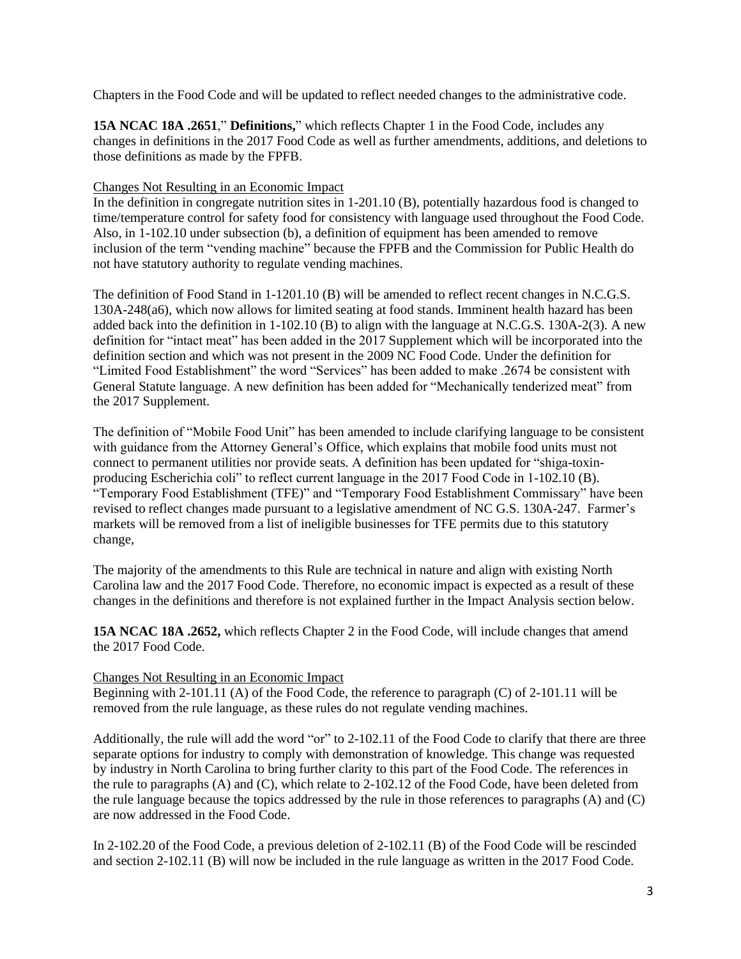Chapters in the Food Code and will be updated to reflect needed changes to the administrative code.

**15A NCAC 18A .2651**," **Definitions,**" which reflects Chapter 1 in the Food Code, includes any changes in definitions in the 2017 Food Code as well as further amendments, additions, and deletions to those definitions as made by the FPFB.

### Changes Not Resulting in an Economic Impact

In the definition in congregate nutrition sites in 1-201.10 (B), potentially hazardous food is changed to time/temperature control for safety food for consistency with language used throughout the Food Code. Also, in 1-102.10 under subsection (b), a definition of equipment has been amended to remove inclusion of the term "vending machine" because the FPFB and the Commission for Public Health do not have statutory authority to regulate vending machines.

The definition of Food Stand in 1-1201.10 (B) will be amended to reflect recent changes in N.C.G.S. 130A-248(a6), which now allows for limited seating at food stands. Imminent health hazard has been added back into the definition in 1-102.10 (B) to align with the language at N.C.G.S. 130A-2(3). A new definition for "intact meat" has been added in the 2017 Supplement which will be incorporated into the definition section and which was not present in the 2009 NC Food Code. Under the definition for "Limited Food Establishment" the word "Services" has been added to make .2674 be consistent with General Statute language. A new definition has been added for "Mechanically tenderized meat" from the 2017 Supplement.

The definition of "Mobile Food Unit" has been amended to include clarifying language to be consistent with guidance from the Attorney General's Office, which explains that mobile food units must not connect to permanent utilities nor provide seats. A definition has been updated for "shiga-toxinproducing Escherichia coli" to reflect current language in the 2017 Food Code in 1-102.10 (B). "Temporary Food Establishment (TFE)" and "Temporary Food Establishment Commissary" have been revised to reflect changes made pursuant to a legislative amendment of NC G.S. 130A-247. Farmer's markets will be removed from a list of ineligible businesses for TFE permits due to this statutory change,

The majority of the amendments to this Rule are technical in nature and align with existing North Carolina law and the 2017 Food Code. Therefore, no economic impact is expected as a result of these changes in the definitions and therefore is not explained further in the Impact Analysis section below.

**15A NCAC 18A .2652,** which reflects Chapter 2 in the Food Code, will include changes that amend the 2017 Food Code.

### Changes Not Resulting in an Economic Impact

Beginning with 2-101.11 (A) of the Food Code, the reference to paragraph (C) of 2-101.11 will be removed from the rule language, as these rules do not regulate vending machines.

Additionally, the rule will add the word "or" to 2-102.11 of the Food Code to clarify that there are three separate options for industry to comply with demonstration of knowledge. This change was requested by industry in North Carolina to bring further clarity to this part of the Food Code. The references in the rule to paragraphs (A) and (C), which relate to 2-102.12 of the Food Code, have been deleted from the rule language because the topics addressed by the rule in those references to paragraphs (A) and (C) are now addressed in the Food Code.

In 2-102.20 of the Food Code, a previous deletion of 2-102.11 (B) of the Food Code will be rescinded and section 2-102.11 (B) will now be included in the rule language as written in the 2017 Food Code.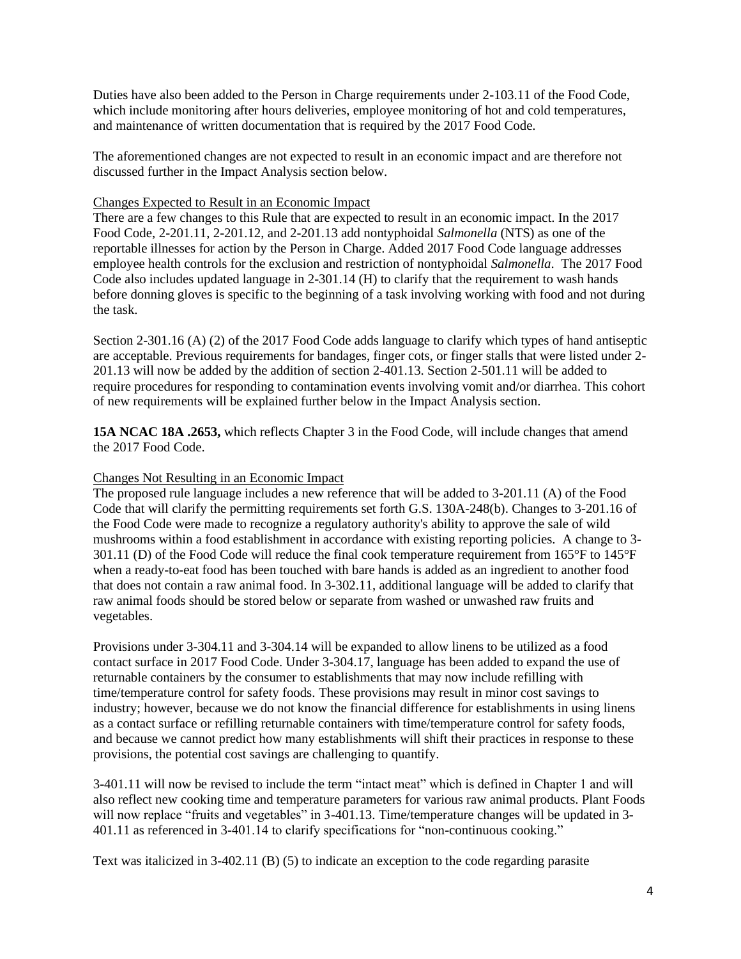Duties have also been added to the Person in Charge requirements under 2-103.11 of the Food Code, which include monitoring after hours deliveries, employee monitoring of hot and cold temperatures, and maintenance of written documentation that is required by the 2017 Food Code.

The aforementioned changes are not expected to result in an economic impact and are therefore not discussed further in the Impact Analysis section below.

#### Changes Expected to Result in an Economic Impact

There are a few changes to this Rule that are expected to result in an economic impact. In the 2017 Food Code, 2-201.11, 2-201.12, and 2-201.13 add nontyphoidal *Salmonella* (NTS) as one of the reportable illnesses for action by the Person in Charge. Added 2017 Food Code language addresses employee health controls for the exclusion and restriction of nontyphoidal *Salmonella*. The 2017 Food Code also includes updated language in 2-301.14 (H) to clarify that the requirement to wash hands before donning gloves is specific to the beginning of a task involving working with food and not during the task.

Section 2-301.16 (A) (2) of the 2017 Food Code adds language to clarify which types of hand antiseptic are acceptable. Previous requirements for bandages, finger cots, or finger stalls that were listed under 2- 201.13 will now be added by the addition of section 2-401.13. Section 2-501.11 will be added to require procedures for responding to contamination events involving vomit and/or diarrhea. This cohort of new requirements will be explained further below in the Impact Analysis section.

**15A NCAC 18A .2653,** which reflects Chapter 3 in the Food Code, will include changes that amend the 2017 Food Code.

#### Changes Not Resulting in an Economic Impact

The proposed rule language includes a new reference that will be added to 3-201.11 (A) of the Food Code that will clarify the permitting requirements set forth G.S. 130A-248(b). Changes to 3-201.16 of the Food Code were made to recognize a regulatory authority's ability to approve the sale of wild mushrooms within a food establishment in accordance with existing reporting policies. A change to 3- 301.11 (D) of the Food Code will reduce the final cook temperature requirement from 165°F to 145°F when a ready-to-eat food has been touched with bare hands is added as an ingredient to another food that does not contain a raw animal food. In 3-302.11, additional language will be added to clarify that raw animal foods should be stored below or separate from washed or unwashed raw fruits and vegetables.

Provisions under 3-304.11 and 3-304.14 will be expanded to allow linens to be utilized as a food contact surface in 2017 Food Code. Under 3-304.17, language has been added to expand the use of returnable containers by the consumer to establishments that may now include refilling with time/temperature control for safety foods. These provisions may result in minor cost savings to industry; however, because we do not know the financial difference for establishments in using linens as a contact surface or refilling returnable containers with time/temperature control for safety foods, and because we cannot predict how many establishments will shift their practices in response to these provisions, the potential cost savings are challenging to quantify.

3-401.11 will now be revised to include the term "intact meat" which is defined in Chapter 1 and will also reflect new cooking time and temperature parameters for various raw animal products. Plant Foods will now replace "fruits and vegetables" in 3-401.13. Time/temperature changes will be updated in 3-401.11 as referenced in 3-401.14 to clarify specifications for "non-continuous cooking."

Text was italicized in 3-402.11 (B) (5) to indicate an exception to the code regarding parasite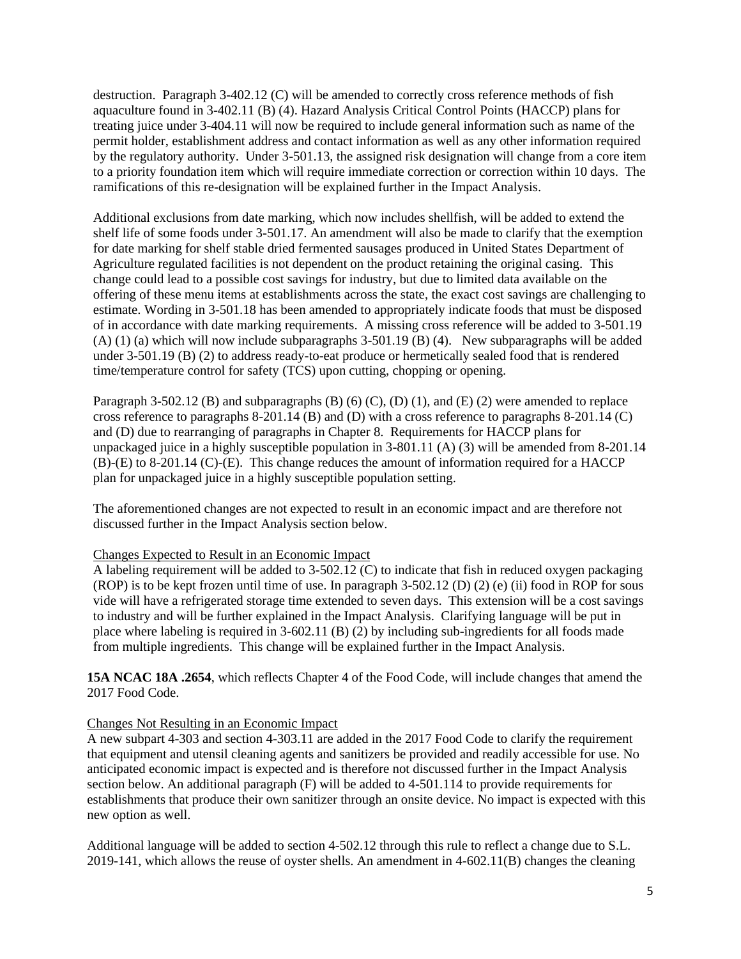destruction. Paragraph 3-402.12 (C) will be amended to correctly cross reference methods of fish aquaculture found in 3-402.11 (B) (4). Hazard Analysis Critical Control Points (HACCP) plans for treating juice under 3-404.11 will now be required to include general information such as name of the permit holder, establishment address and contact information as well as any other information required by the regulatory authority. Under 3-501.13, the assigned risk designation will change from a core item to a priority foundation item which will require immediate correction or correction within 10 days. The ramifications of this re-designation will be explained further in the Impact Analysis.

Additional exclusions from date marking, which now includes shellfish, will be added to extend the shelf life of some foods under 3-501.17. An amendment will also be made to clarify that the exemption for date marking for shelf stable dried fermented sausages produced in United States Department of Agriculture regulated facilities is not dependent on the product retaining the original casing. This change could lead to a possible cost savings for industry, but due to limited data available on the offering of these menu items at establishments across the state, the exact cost savings are challenging to estimate. Wording in 3-501.18 has been amended to appropriately indicate foods that must be disposed of in accordance with date marking requirements. A missing cross reference will be added to 3-501.19 (A) (1) (a) which will now include subparagraphs 3-501.19 (B) (4). New subparagraphs will be added under 3-501.19 (B) (2) to address ready-to-eat produce or hermetically sealed food that is rendered time/temperature control for safety (TCS) upon cutting, chopping or opening.

Paragraph 3-502.12 (B) and subparagraphs (B) (6) (C), (D) (1), and (E) (2) were amended to replace cross reference to paragraphs  $8-201.14$  (B) and (D) with a cross reference to paragraphs  $8-201.14$  (C) and (D) due to rearranging of paragraphs in Chapter 8. Requirements for HACCP plans for unpackaged juice in a highly susceptible population in 3-801.11 (A) (3) will be amended from 8-201.14 (B)-(E) to 8-201.14 (C)-(E). This change reduces the amount of information required for a HACCP plan for unpackaged juice in a highly susceptible population setting.

The aforementioned changes are not expected to result in an economic impact and are therefore not discussed further in the Impact Analysis section below.

#### Changes Expected to Result in an Economic Impact

A labeling requirement will be added to 3-502.12 (C) to indicate that fish in reduced oxygen packaging (ROP) is to be kept frozen until time of use. In paragraph 3-502.12 (D) (2) (e) (ii) food in ROP for sous vide will have a refrigerated storage time extended to seven days. This extension will be a cost savings to industry and will be further explained in the Impact Analysis. Clarifying language will be put in place where labeling is required in 3-602.11 (B) (2) by including sub-ingredients for all foods made from multiple ingredients. This change will be explained further in the Impact Analysis.

**15A NCAC 18A .2654**, which reflects Chapter 4 of the Food Code, will include changes that amend the 2017 Food Code.

# Changes Not Resulting in an Economic Impact

A new subpart 4-303 and section 4-303.11 are added in the 2017 Food Code to clarify the requirement that equipment and utensil cleaning agents and sanitizers be provided and readily accessible for use. No anticipated economic impact is expected and is therefore not discussed further in the Impact Analysis section below. An additional paragraph (F) will be added to 4-501.114 to provide requirements for establishments that produce their own sanitizer through an onsite device. No impact is expected with this new option as well.

Additional language will be added to section 4-502.12 through this rule to reflect a change due to S.L. 2019-141, which allows the reuse of oyster shells. An amendment in 4-602.11(B) changes the cleaning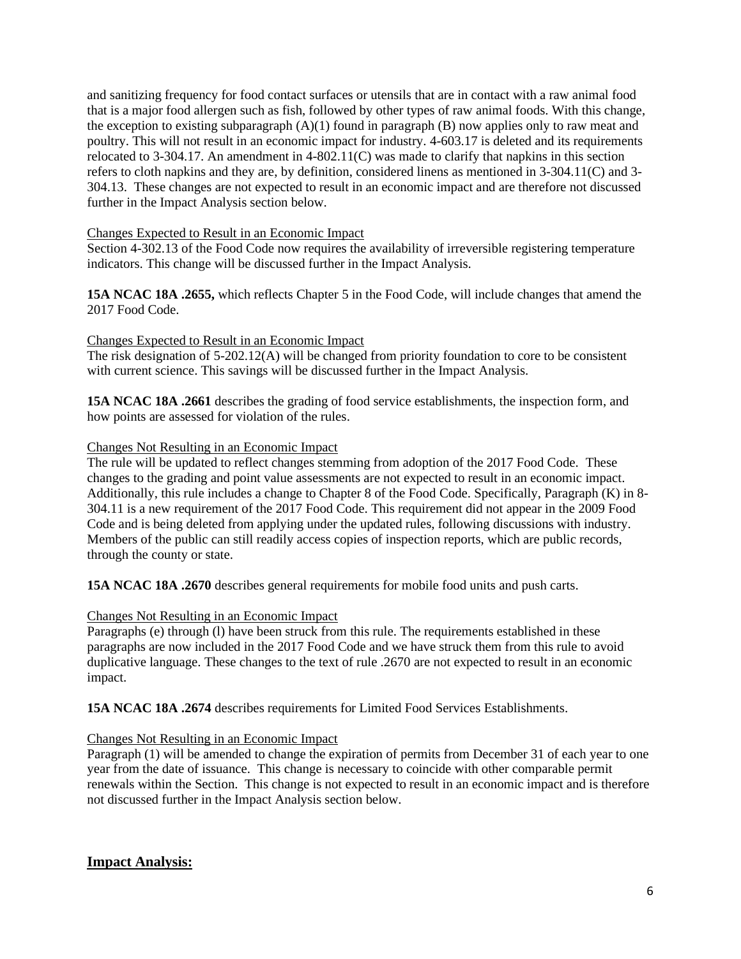and sanitizing frequency for food contact surfaces or utensils that are in contact with a raw animal food that is a major food allergen such as fish, followed by other types of raw animal foods. With this change, the exception to existing subparagraph  $(A)(1)$  found in paragraph  $(B)$  now applies only to raw meat and poultry. This will not result in an economic impact for industry. 4-603.17 is deleted and its requirements relocated to 3-304.17. An amendment in 4-802.11(C) was made to clarify that napkins in this section refers to cloth napkins and they are, by definition, considered linens as mentioned in 3-304.11(C) and 3- 304.13. These changes are not expected to result in an economic impact and are therefore not discussed further in the Impact Analysis section below.

### Changes Expected to Result in an Economic Impact

Section 4-302.13 of the Food Code now requires the availability of irreversible registering temperature indicators. This change will be discussed further in the Impact Analysis.

**15A NCAC 18A .2655,** which reflects Chapter 5 in the Food Code, will include changes that amend the 2017 Food Code.

# Changes Expected to Result in an Economic Impact

The risk designation of 5-202.12(A) will be changed from priority foundation to core to be consistent with current science. This savings will be discussed further in the Impact Analysis.

**15A NCAC 18A .2661** describes the grading of food service establishments, the inspection form, and how points are assessed for violation of the rules.

### Changes Not Resulting in an Economic Impact

The rule will be updated to reflect changes stemming from adoption of the 2017 Food Code. These changes to the grading and point value assessments are not expected to result in an economic impact. Additionally, this rule includes a change to Chapter 8 of the Food Code. Specifically, Paragraph (K) in 8- 304.11 is a new requirement of the 2017 Food Code. This requirement did not appear in the 2009 Food Code and is being deleted from applying under the updated rules, following discussions with industry. Members of the public can still readily access copies of inspection reports, which are public records, through the county or state.

**15A NCAC 18A .2670** describes general requirements for mobile food units and push carts.

### Changes Not Resulting in an Economic Impact

Paragraphs (e) through (l) have been struck from this rule. The requirements established in these paragraphs are now included in the 2017 Food Code and we have struck them from this rule to avoid duplicative language. These changes to the text of rule .2670 are not expected to result in an economic impact.

**15A NCAC 18A .2674** describes requirements for Limited Food Services Establishments.

### Changes Not Resulting in an Economic Impact

Paragraph (1) will be amended to change the expiration of permits from December 31 of each year to one year from the date of issuance. This change is necessary to coincide with other comparable permit renewals within the Section. This change is not expected to result in an economic impact and is therefore not discussed further in the Impact Analysis section below.

# **Impact Analysis:**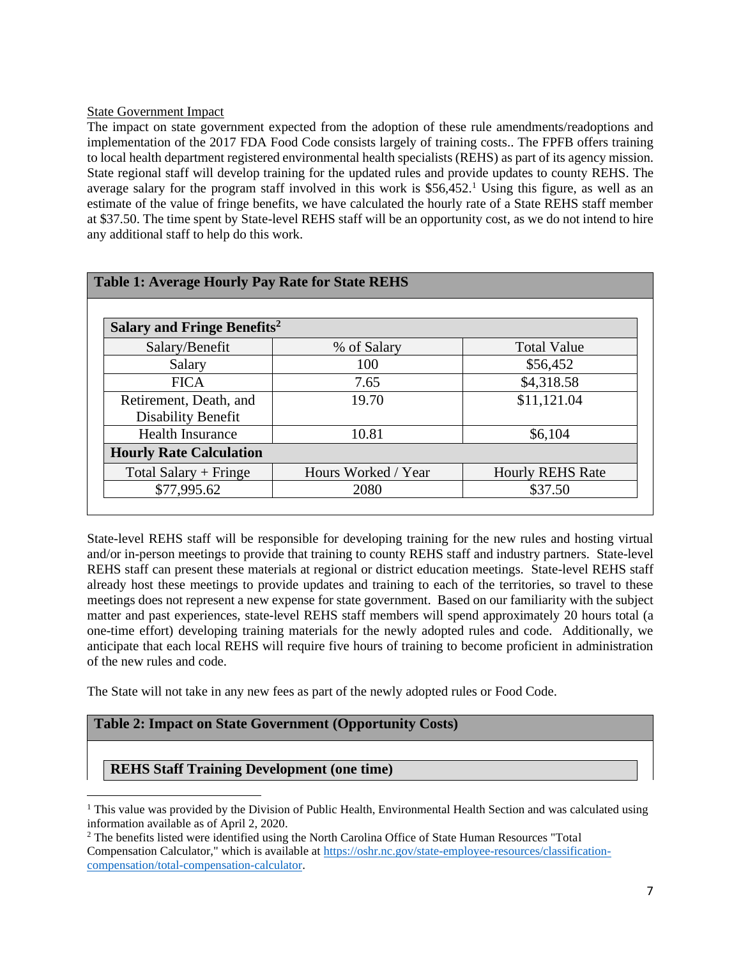### State Government Impact

The impact on state government expected from the adoption of these rule amendments/readoptions and implementation of the 2017 FDA Food Code consists largely of training costs.. The FPFB offers training to local health department registered environmental health specialists (REHS) as part of its agency mission. State regional staff will develop training for the updated rules and provide updates to county REHS. The average salary for the program staff involved in this work is  $$56,452<sup>1</sup>$  Using this figure, as well as an estimate of the value of fringe benefits, we have calculated the hourly rate of a State REHS staff member at \$37.50. The time spent by State-level REHS staff will be an opportunity cost, as we do not intend to hire any additional staff to help do this work.

| <b>Table 1: Average Hourly Pay Rate for State REHS</b> |                     |                         |
|--------------------------------------------------------|---------------------|-------------------------|
| Salary and Fringe Benefits <sup>2</sup>                |                     |                         |
| Salary/Benefit                                         | % of Salary         | <b>Total Value</b>      |
| Salary                                                 | 100                 | \$56,452                |
| <b>FICA</b>                                            | 7.65                | \$4,318.58              |
| Retirement, Death, and<br>Disability Benefit           | 19.70               | \$11,121.04             |
| <b>Health Insurance</b>                                | 10.81               | \$6,104                 |
| <b>Hourly Rate Calculation</b>                         |                     |                         |
| Total Salary + Fringe                                  | Hours Worked / Year | <b>Hourly REHS Rate</b> |
| \$77,995.62                                            | 2080                | \$37.50                 |

State-level REHS staff will be responsible for developing training for the new rules and hosting virtual and/or in-person meetings to provide that training to county REHS staff and industry partners. State-level REHS staff can present these materials at regional or district education meetings. State-level REHS staff already host these meetings to provide updates and training to each of the territories, so travel to these meetings does not represent a new expense for state government. Based on our familiarity with the subject matter and past experiences, state-level REHS staff members will spend approximately 20 hours total (a one-time effort) developing training materials for the newly adopted rules and code. Additionally, we anticipate that each local REHS will require five hours of training to become proficient in administration of the new rules and code.

The State will not take in any new fees as part of the newly adopted rules or Food Code.

# **Table 2: Impact on State Government (Opportunity Costs)**

# **REHS Staff Training Development (one time)**

 $<sup>1</sup>$  This value was provided by the Division of Public Health, Environmental Health Section and was calculated using</sup> information available as of April 2, 2020.

<sup>2</sup> The benefits listed were identified using the North Carolina Office of State Human Resources "Total Compensation Calculator," which is available at [https://oshr.nc.gov/state-employee-resources/classification](https://oshr.nc.gov/state-employee-resources/classification-compensation/total-compensation-calculator)[compensation/total-compensation-calculator.](https://oshr.nc.gov/state-employee-resources/classification-compensation/total-compensation-calculator)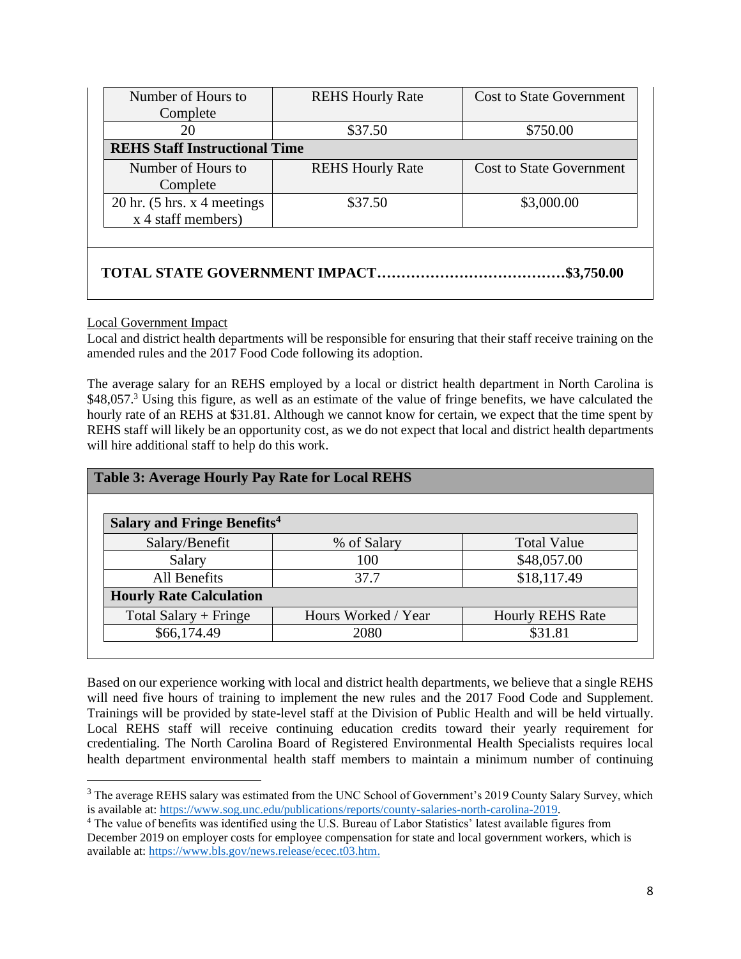| Number of Hours to                                           | <b>REHS Hourly Rate</b>              | <b>Cost to State Government</b> |
|--------------------------------------------------------------|--------------------------------------|---------------------------------|
| Complete                                                     |                                      |                                 |
| 20                                                           | \$37.50                              | \$750.00                        |
| <b>REHS Staff Instructional Time</b>                         |                                      |                                 |
| Number of Hours to<br>Complete                               | <b>REHS Hourly Rate</b>              | <b>Cost to State Government</b> |
| $20 \text{ hr.}$ (5 hrs. x 4 meetings)<br>x 4 staff members) | \$37.50                              | \$3,000.00                      |
|                                                              |                                      |                                 |
|                                                              | <b>TOTAL STATE GOVERNMENT IMPACT</b> | \$3,750.00                      |

### Local Government Impact

Local and district health departments will be responsible for ensuring that their staff receive training on the amended rules and the 2017 Food Code following its adoption.

The average salary for an REHS employed by a local or district health department in North Carolina is \$48,057.<sup>3</sup> Using this figure, as well as an estimate of the value of fringe benefits, we have calculated the hourly rate of an REHS at \$31.81. Although we cannot know for certain, we expect that the time spent by REHS staff will likely be an opportunity cost, as we do not expect that local and district health departments will hire additional staff to help do this work.

| <b>Table 3: Average Hourly Pay Rate for Local REHS</b> |                     |                         |
|--------------------------------------------------------|---------------------|-------------------------|
| <b>Salary and Fringe Benefits<sup>4</sup></b>          |                     |                         |
| Salary/Benefit                                         | % of Salary         | <b>Total Value</b>      |
| Salary                                                 | 100                 | \$48,057.00             |
| All Benefits                                           | 37.7                | \$18,117.49             |
| <b>Hourly Rate Calculation</b>                         |                     |                         |
| Total Salary $+$ Fringe                                | Hours Worked / Year | <b>Hourly REHS Rate</b> |
| \$66,174.49                                            | 2080                | \$31.81                 |

Based on our experience working with local and district health departments, we believe that a single REHS will need five hours of training to implement the new rules and the 2017 Food Code and Supplement. Trainings will be provided by state-level staff at the Division of Public Health and will be held virtually. Local REHS staff will receive continuing education credits toward their yearly requirement for credentialing. The North Carolina Board of Registered Environmental Health Specialists requires local health department environmental health staff members to maintain a minimum number of continuing

<sup>&</sup>lt;sup>3</sup> The average REHS salary was estimated from the UNC School of Government's 2019 County Salary Survey, which is available at: [https://www.sog.unc.edu/publications/reports/county-salaries-north-carolina-2019.](https://www.sog.unc.edu/publications/reports/county-salaries-north-carolina-2019)

<sup>&</sup>lt;sup>4</sup> The value of benefits was identified using the U.S. Bureau of Labor Statistics' latest available figures from December 2019 on employer costs for employee compensation for state and local government workers, which is available at: [https://www.bls.gov/news.release/ecec.t03.htm.](https://www.bls.gov/news.release/ecec.t03.htm)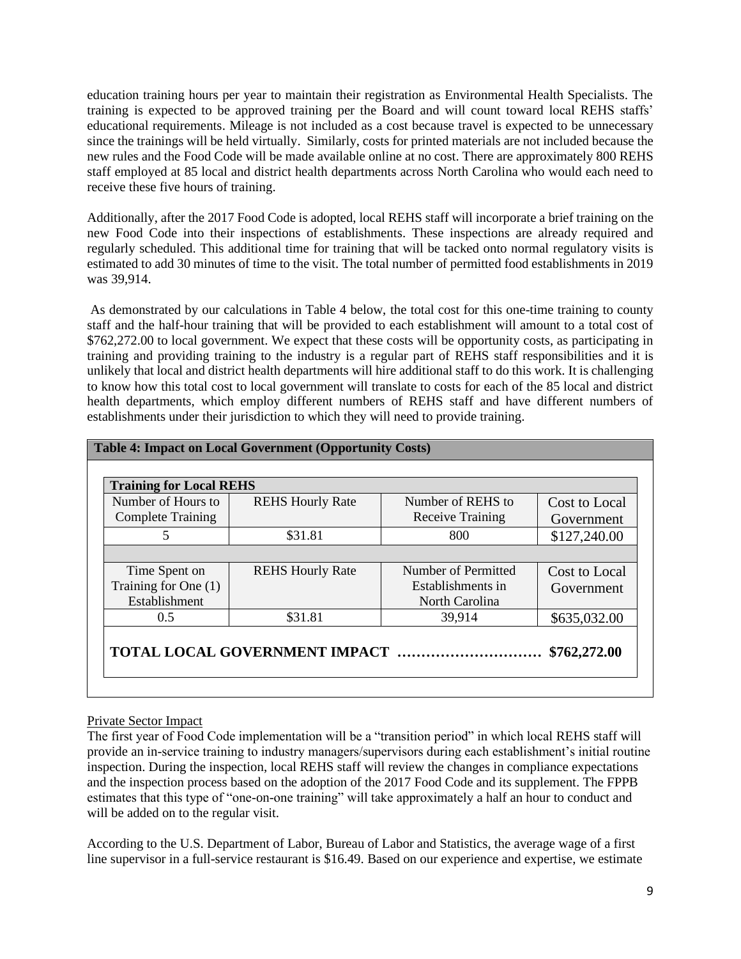education training hours per year to maintain their registration as Environmental Health Specialists. The training is expected to be approved training per the Board and will count toward local REHS staffs' educational requirements. Mileage is not included as a cost because travel is expected to be unnecessary since the trainings will be held virtually. Similarly, costs for printed materials are not included because the new rules and the Food Code will be made available online at no cost. There are approximately 800 REHS staff employed at 85 local and district health departments across North Carolina who would each need to receive these five hours of training.

Additionally, after the 2017 Food Code is adopted, local REHS staff will incorporate a brief training on the new Food Code into their inspections of establishments. These inspections are already required and regularly scheduled. This additional time for training that will be tacked onto normal regulatory visits is estimated to add 30 minutes of time to the visit. The total number of permitted food establishments in 2019 was 39,914.

As demonstrated by our calculations in Table 4 below, the total cost for this one-time training to county staff and the half-hour training that will be provided to each establishment will amount to a total cost of \$762,272.00 to local government. We expect that these costs will be opportunity costs, as participating in training and providing training to the industry is a regular part of REHS staff responsibilities and it is unlikely that local and district health departments will hire additional staff to do this work. It is challenging to know how this total cost to local government will translate to costs for each of the 85 local and district health departments, which employ different numbers of REHS staff and have different numbers of establishments under their jurisdiction to which they will need to provide training.

| <b>REHS Hourly Rate</b> | Number of REHS to<br><b>Receive Training</b>               | Cost to Local<br>Government |
|-------------------------|------------------------------------------------------------|-----------------------------|
| \$31.81                 | 800                                                        | \$127,240.00                |
| <b>REHS Hourly Rate</b> | Number of Permitted<br>Establishments in<br>North Carolina | Cost to Local<br>Government |
| \$31.81                 | 39,914                                                     | \$635,032.00                |
|                         |                                                            |                             |

### Private Sector Impact

The first year of Food Code implementation will be a "transition period" in which local REHS staff will provide an in-service training to industry managers/supervisors during each establishment's initial routine inspection. During the inspection, local REHS staff will review the changes in compliance expectations and the inspection process based on the adoption of the 2017 Food Code and its supplement. The FPPB estimates that this type of "one-on-one training" will take approximately a half an hour to conduct and will be added on to the regular visit.

According to the U.S. Department of Labor, Bureau of Labor and Statistics, the average wage of a first line supervisor in a full-service restaurant is \$16.49. Based on our experience and expertise, we estimate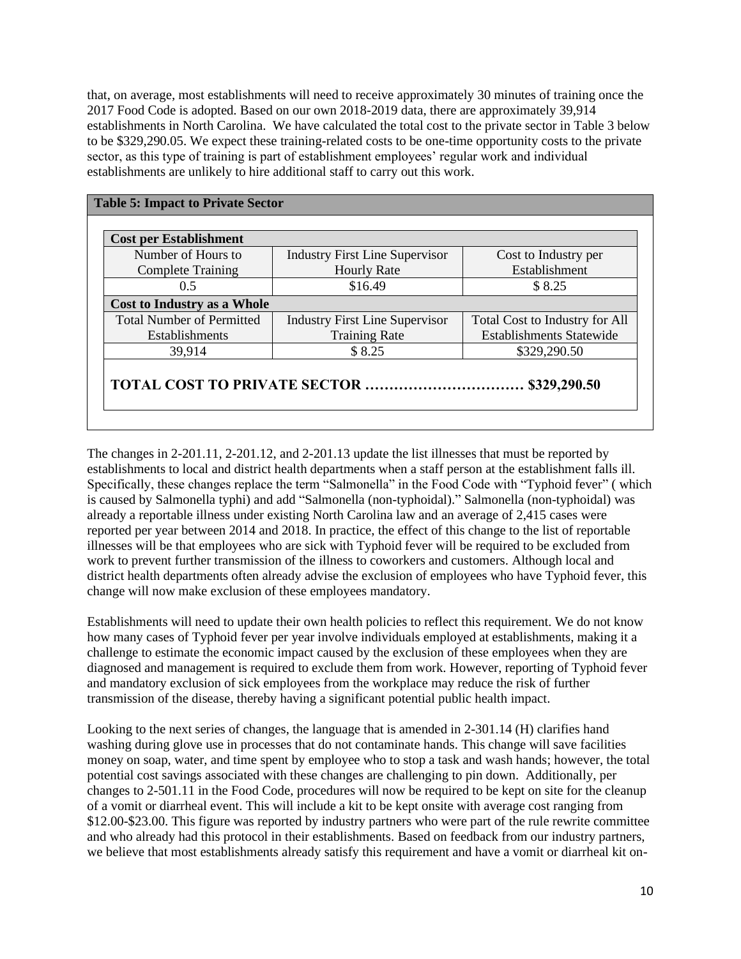that, on average, most establishments will need to receive approximately 30 minutes of training once the 2017 Food Code is adopted. Based on our own 2018-2019 data, there are approximately 39,914 establishments in North Carolina. We have calculated the total cost to the private sector in Table 3 below to be \$329,290.05. We expect these training-related costs to be one-time opportunity costs to the private sector, as this type of training is part of establishment employees' regular work and individual establishments are unlikely to hire additional staff to carry out this work.

| <b>Industry First Line Supervisor</b><br>Cost to Industry per                  |
|--------------------------------------------------------------------------------|
|                                                                                |
| Establishment<br><b>Hourly Rate</b>                                            |
| \$8.25                                                                         |
|                                                                                |
| <b>Industry First Line Supervisor</b><br><b>Total Cost to Industry for All</b> |
| <b>Establishments Statewide</b><br><b>Training Rate</b>                        |
| \$329,290.50                                                                   |
|                                                                                |

The changes in 2-201.11, 2-201.12, and 2-201.13 update the list illnesses that must be reported by establishments to local and district health departments when a staff person at the establishment falls ill. Specifically, these changes replace the term "Salmonella" in the Food Code with "Typhoid fever" ( which is caused by Salmonella typhi) and add "Salmonella (non-typhoidal)." Salmonella (non-typhoidal) was already a reportable illness under existing North Carolina law and an average of 2,415 cases were reported per year between 2014 and 2018. In practice, the effect of this change to the list of reportable illnesses will be that employees who are sick with Typhoid fever will be required to be excluded from work to prevent further transmission of the illness to coworkers and customers. Although local and district health departments often already advise the exclusion of employees who have Typhoid fever, this change will now make exclusion of these employees mandatory.

Establishments will need to update their own health policies to reflect this requirement. We do not know how many cases of Typhoid fever per year involve individuals employed at establishments, making it a challenge to estimate the economic impact caused by the exclusion of these employees when they are diagnosed and management is required to exclude them from work. However, reporting of Typhoid fever and mandatory exclusion of sick employees from the workplace may reduce the risk of further transmission of the disease, thereby having a significant potential public health impact.

Looking to the next series of changes, the language that is amended in 2-301.14 (H) clarifies hand washing during glove use in processes that do not contaminate hands. This change will save facilities money on soap, water, and time spent by employee who to stop a task and wash hands; however, the total potential cost savings associated with these changes are challenging to pin down. Additionally, per changes to 2-501.11 in the Food Code, procedures will now be required to be kept on site for the cleanup of a vomit or diarrheal event. This will include a kit to be kept onsite with average cost ranging from \$12.00-\$23.00. This figure was reported by industry partners who were part of the rule rewrite committee and who already had this protocol in their establishments. Based on feedback from our industry partners, we believe that most establishments already satisfy this requirement and have a vomit or diarrheal kit on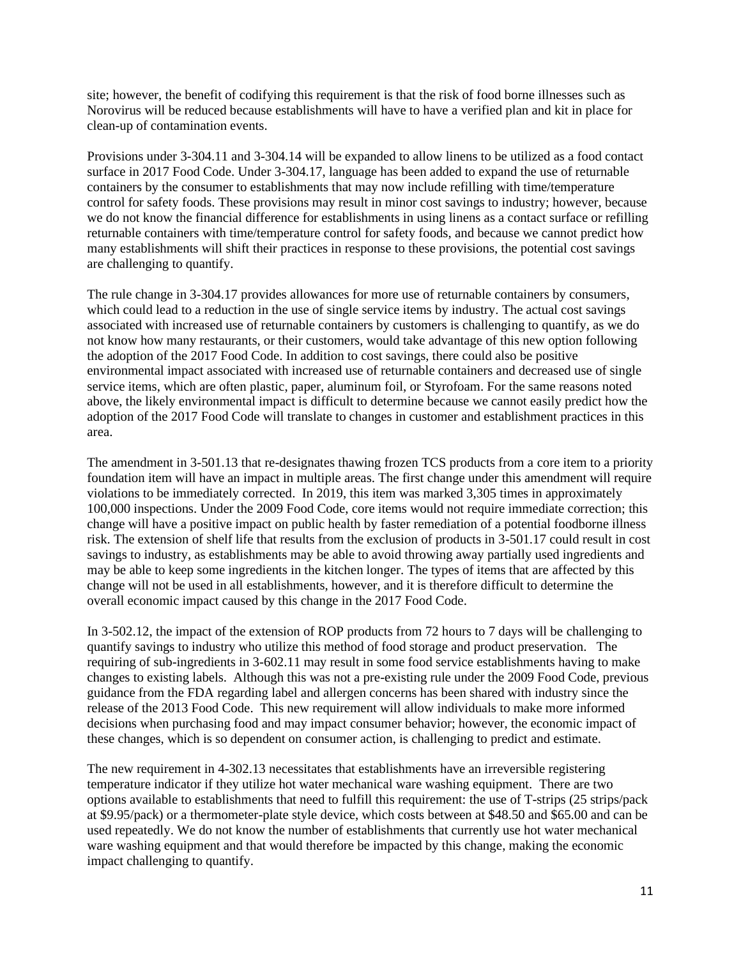site; however, the benefit of codifying this requirement is that the risk of food borne illnesses such as Norovirus will be reduced because establishments will have to have a verified plan and kit in place for clean-up of contamination events.

Provisions under 3-304.11 and 3-304.14 will be expanded to allow linens to be utilized as a food contact surface in 2017 Food Code. Under 3-304.17, language has been added to expand the use of returnable containers by the consumer to establishments that may now include refilling with time/temperature control for safety foods. These provisions may result in minor cost savings to industry; however, because we do not know the financial difference for establishments in using linens as a contact surface or refilling returnable containers with time/temperature control for safety foods, and because we cannot predict how many establishments will shift their practices in response to these provisions, the potential cost savings are challenging to quantify.

The rule change in 3-304.17 provides allowances for more use of returnable containers by consumers, which could lead to a reduction in the use of single service items by industry. The actual cost savings associated with increased use of returnable containers by customers is challenging to quantify, as we do not know how many restaurants, or their customers, would take advantage of this new option following the adoption of the 2017 Food Code. In addition to cost savings, there could also be positive environmental impact associated with increased use of returnable containers and decreased use of single service items, which are often plastic, paper, aluminum foil, or Styrofoam. For the same reasons noted above, the likely environmental impact is difficult to determine because we cannot easily predict how the adoption of the 2017 Food Code will translate to changes in customer and establishment practices in this area.

The amendment in 3-501.13 that re-designates thawing frozen TCS products from a core item to a priority foundation item will have an impact in multiple areas. The first change under this amendment will require violations to be immediately corrected. In 2019, this item was marked 3,305 times in approximately 100,000 inspections. Under the 2009 Food Code, core items would not require immediate correction; this change will have a positive impact on public health by faster remediation of a potential foodborne illness risk. The extension of shelf life that results from the exclusion of products in 3-501.17 could result in cost savings to industry, as establishments may be able to avoid throwing away partially used ingredients and may be able to keep some ingredients in the kitchen longer. The types of items that are affected by this change will not be used in all establishments, however, and it is therefore difficult to determine the overall economic impact caused by this change in the 2017 Food Code.

In 3-502.12, the impact of the extension of ROP products from 72 hours to 7 days will be challenging to quantify savings to industry who utilize this method of food storage and product preservation. The requiring of sub-ingredients in 3-602.11 may result in some food service establishments having to make changes to existing labels. Although this was not a pre-existing rule under the 2009 Food Code, previous guidance from the FDA regarding label and allergen concerns has been shared with industry since the release of the 2013 Food Code. This new requirement will allow individuals to make more informed decisions when purchasing food and may impact consumer behavior; however, the economic impact of these changes, which is so dependent on consumer action, is challenging to predict and estimate.

The new requirement in 4-302.13 necessitates that establishments have an irreversible registering temperature indicator if they utilize hot water mechanical ware washing equipment. There are two options available to establishments that need to fulfill this requirement: the use of T-strips (25 strips/pack at \$9.95/pack) or a thermometer-plate style device, which costs between at \$48.50 and \$65.00 and can be used repeatedly. We do not know the number of establishments that currently use hot water mechanical ware washing equipment and that would therefore be impacted by this change, making the economic impact challenging to quantify.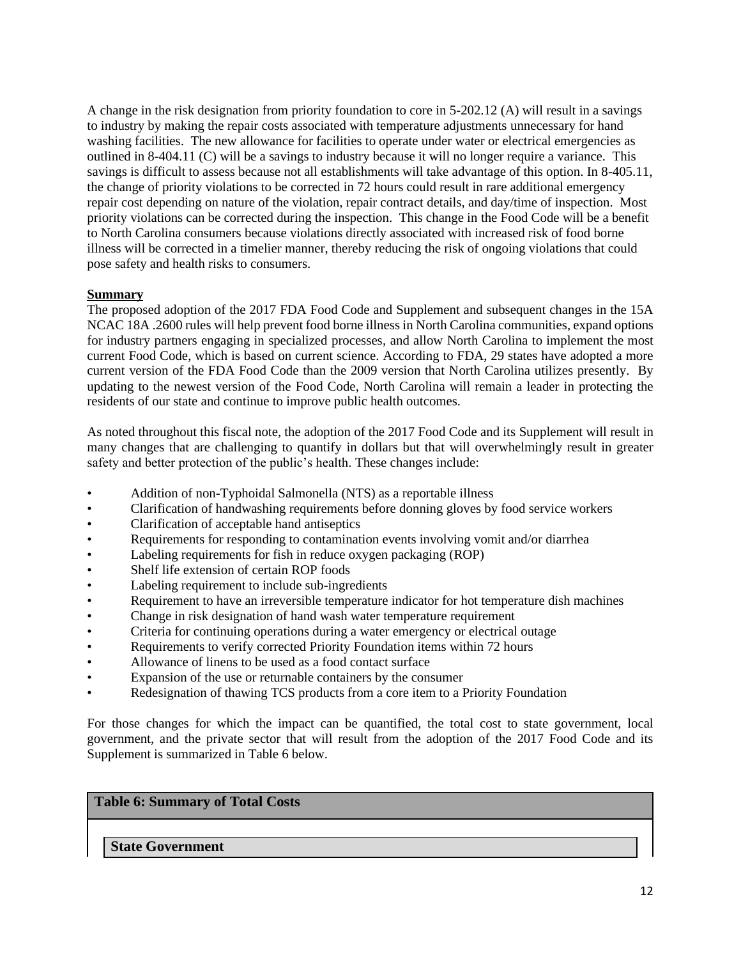A change in the risk designation from priority foundation to core in 5-202.12 (A) will result in a savings to industry by making the repair costs associated with temperature adjustments unnecessary for hand washing facilities. The new allowance for facilities to operate under water or electrical emergencies as outlined in 8-404.11 (C) will be a savings to industry because it will no longer require a variance. This savings is difficult to assess because not all establishments will take advantage of this option. In 8-405.11, the change of priority violations to be corrected in 72 hours could result in rare additional emergency repair cost depending on nature of the violation, repair contract details, and day/time of inspection. Most priority violations can be corrected during the inspection. This change in the Food Code will be a benefit to North Carolina consumers because violations directly associated with increased risk of food borne illness will be corrected in a timelier manner, thereby reducing the risk of ongoing violations that could pose safety and health risks to consumers.

### **Summary**

The proposed adoption of the 2017 FDA Food Code and Supplement and subsequent changes in the 15A NCAC 18A .2600 rules will help prevent food borne illness in North Carolina communities, expand options for industry partners engaging in specialized processes, and allow North Carolina to implement the most current Food Code, which is based on current science. According to FDA, 29 states have adopted a more current version of the FDA Food Code than the 2009 version that North Carolina utilizes presently. By updating to the newest version of the Food Code, North Carolina will remain a leader in protecting the residents of our state and continue to improve public health outcomes.

As noted throughout this fiscal note, the adoption of the 2017 Food Code and its Supplement will result in many changes that are challenging to quantify in dollars but that will overwhelmingly result in greater safety and better protection of the public's health. These changes include:

- Addition of non-Typhoidal Salmonella (NTS) as a reportable illness
- Clarification of handwashing requirements before donning gloves by food service workers
- Clarification of acceptable hand antiseptics
- Requirements for responding to contamination events involving vomit and/or diarrhea
- Labeling requirements for fish in reduce oxygen packaging (ROP)
- Shelf life extension of certain ROP foods
- Labeling requirement to include sub-ingredients
- Requirement to have an irreversible temperature indicator for hot temperature dish machines
- Change in risk designation of hand wash water temperature requirement
- Criteria for continuing operations during a water emergency or electrical outage
- Requirements to verify corrected Priority Foundation items within 72 hours
- Allowance of linens to be used as a food contact surface
- Expansion of the use or returnable containers by the consumer
- Redesignation of thawing TCS products from a core item to a Priority Foundation

For those changes for which the impact can be quantified, the total cost to state government, local government, and the private sector that will result from the adoption of the 2017 Food Code and its Supplement is summarized in Table 6 below.

# **Table 6: Summary of Total Costs**

**State Government**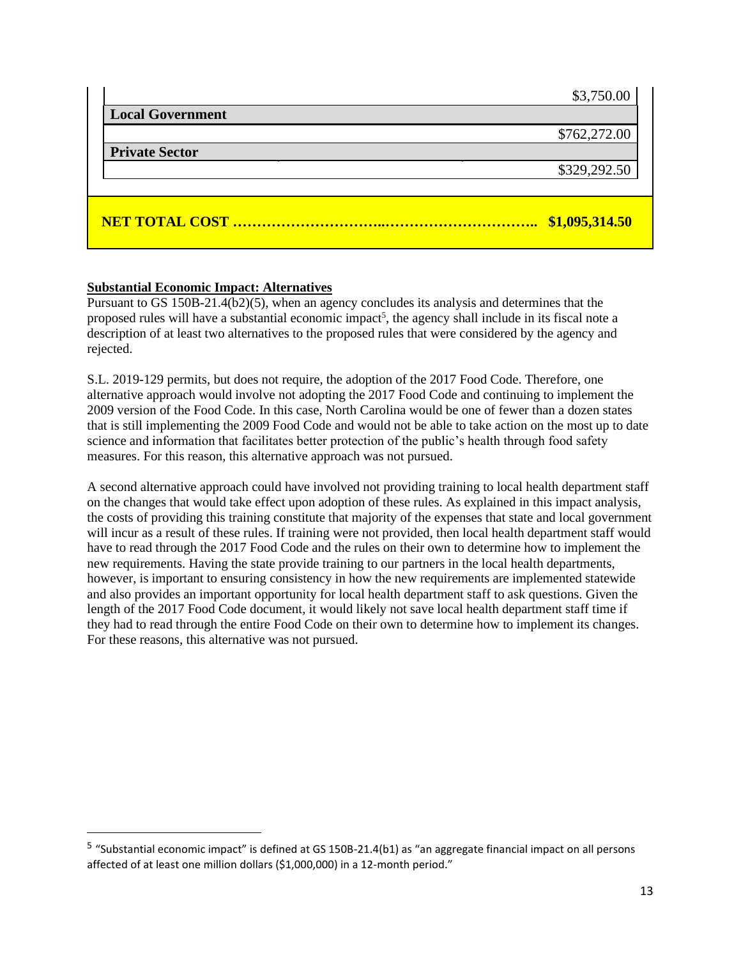|                         | \$1,095,314.50 |
|-------------------------|----------------|
|                         | \$329,292.50   |
| <b>Private Sector</b>   |                |
| <b>Local Government</b> | \$762,272.00   |
|                         | \$3,750.00     |

# **Substantial Economic Impact: Alternatives**

Pursuant to GS 150B-21.4(b2)(5), when an agency concludes its analysis and determines that the proposed rules will have a substantial economic impact<sup>5</sup>, the agency shall include in its fiscal note a description of at least two alternatives to the proposed rules that were considered by the agency and rejected.

S.L. 2019-129 permits, but does not require, the adoption of the 2017 Food Code. Therefore, one alternative approach would involve not adopting the 2017 Food Code and continuing to implement the 2009 version of the Food Code. In this case, North Carolina would be one of fewer than a dozen states that is still implementing the 2009 Food Code and would not be able to take action on the most up to date science and information that facilitates better protection of the public's health through food safety measures. For this reason, this alternative approach was not pursued.

A second alternative approach could have involved not providing training to local health department staff on the changes that would take effect upon adoption of these rules. As explained in this impact analysis, the costs of providing this training constitute that majority of the expenses that state and local government will incur as a result of these rules. If training were not provided, then local health department staff would have to read through the 2017 Food Code and the rules on their own to determine how to implement the new requirements. Having the state provide training to our partners in the local health departments, however, is important to ensuring consistency in how the new requirements are implemented statewide and also provides an important opportunity for local health department staff to ask questions. Given the length of the 2017 Food Code document, it would likely not save local health department staff time if they had to read through the entire Food Code on their own to determine how to implement its changes. For these reasons, this alternative was not pursued.

<sup>&</sup>lt;sup>5</sup> "Substantial economic impact" is defined at GS 150B-21.4(b1) as "an aggregate financial impact on all persons affected of at least one million dollars (\$1,000,000) in a 12-month period."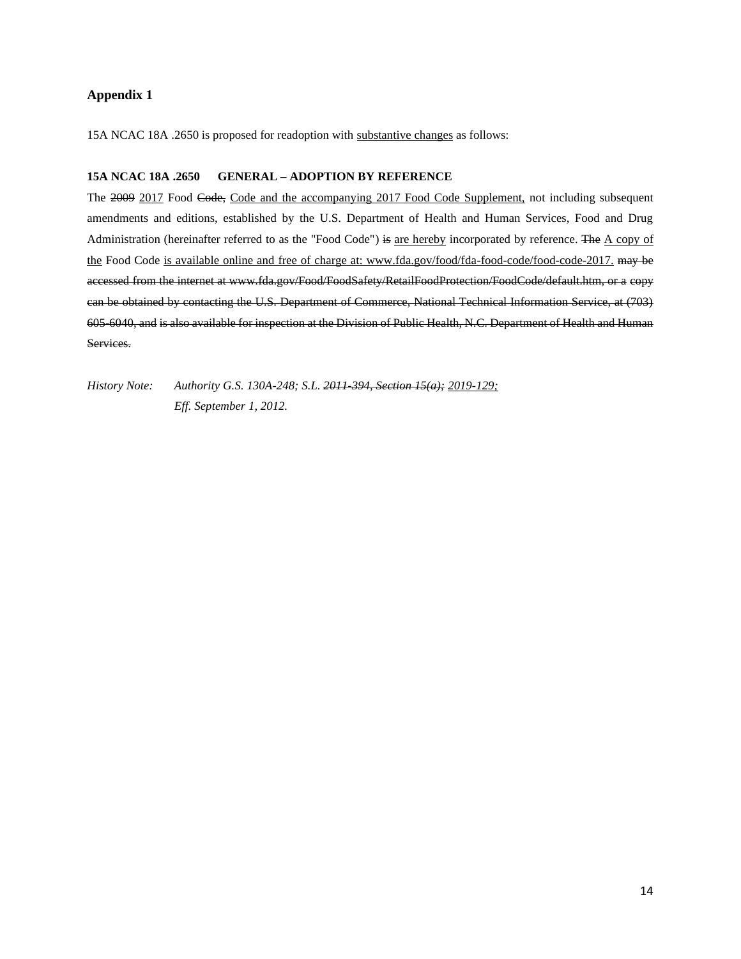#### **Appendix 1**

15A NCAC 18A .2650 is proposed for readoption with substantive changes as follows:

#### **15A NCAC 18A .2650 GENERAL – ADOPTION BY REFERENCE**

The 2009 2017 Food Code, Code and the accompanying 2017 Food Code Supplement, not including subsequent amendments and editions, established by the U.S. Department of Health and Human Services, Food and Drug Administration (hereinafter referred to as the "Food Code") is are hereby incorporated by reference. The A copy of the Food Code is available online and free of charge at: www.fda.gov/food/fda-food-code/food-code-2017. may be accessed from the internet at www.fda.gov/Food/FoodSafety/RetailFoodProtection/FoodCode/default.htm, or a copy can be obtained by contacting the U.S. Department of Commerce, National Technical Information Service, at (703) 605-6040, and is also available for inspection at the Division of Public Health, N.C. Department of Health and Human Services.

*History Note: Authority G.S. 130A-248; S.L. 2011-394, Section 15(a); 2019-129; Eff. September 1, 2012.*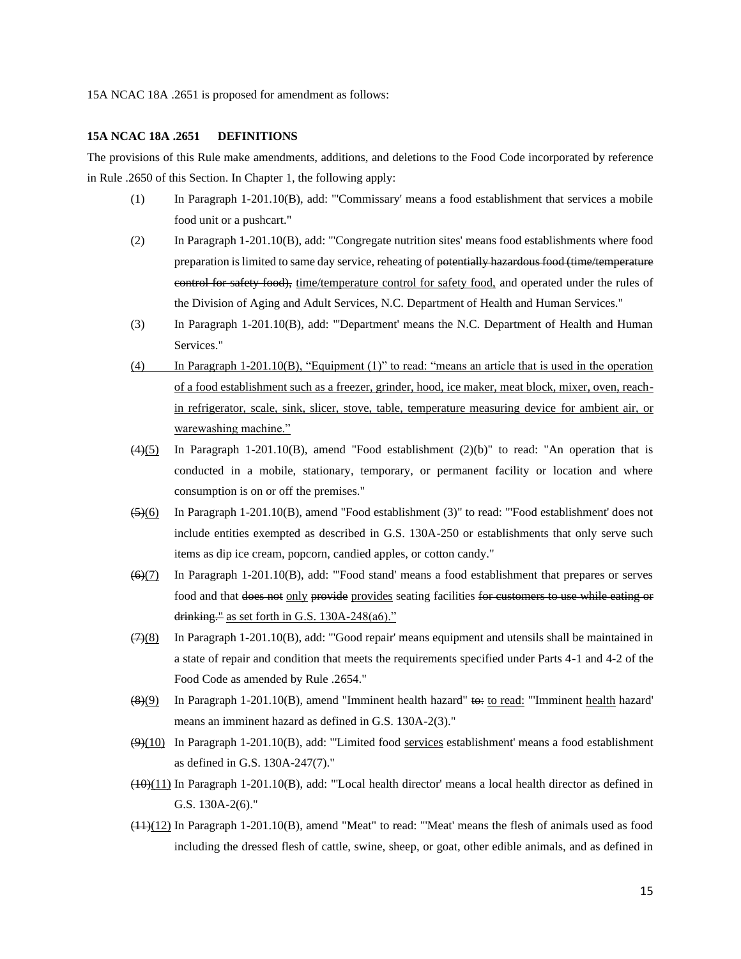15A NCAC 18A .2651 is proposed for amendment as follows:

#### **15A NCAC 18A .2651 DEFINITIONS**

The provisions of this Rule make amendments, additions, and deletions to the Food Code incorporated by reference in Rule .2650 of this Section. In Chapter 1, the following apply:

- (1) In Paragraph 1-201.10(B), add: "'Commissary' means a food establishment that services a mobile food unit or a pushcart."
- (2) In Paragraph 1-201.10(B), add: "'Congregate nutrition sites' means food establishments where food preparation is limited to same day service, reheating of potentially hazardous food (time/temperature control for safety food), time/temperature control for safety food, and operated under the rules of the Division of Aging and Adult Services, N.C. Department of Health and Human Services."
- (3) In Paragraph 1-201.10(B), add: "'Department' means the N.C. Department of Health and Human Services."
- (4) In Paragraph 1-201.10(B), "Equipment (1)" to read: "means an article that is used in the operation of a food establishment such as a freezer, grinder, hood, ice maker, meat block, mixer, oven, reachin refrigerator, scale, sink, slicer, stove, table, temperature measuring device for ambient air, or warewashing machine."
- $(4)(5)$  In Paragraph 1-201.10(B), amend "Food establishment (2)(b)" to read: "An operation that is conducted in a mobile, stationary, temporary, or permanent facility or location and where consumption is on or off the premises."
- $\left( \frac{5}{6} \right)$  In Paragraph 1-201.10(B), amend "Food establishment (3)" to read: "Food establishment' does not include entities exempted as described in G.S. 130A-250 or establishments that only serve such items as dip ice cream, popcorn, candied apples, or cotton candy."
- $(6)(7)$  In Paragraph 1-201.10(B), add: "Food stand' means a food establishment that prepares or serves food and that does not only provide provides seating facilities for customers to use while eating or drinking." as set forth in G.S.  $130A-248(a6)$ ."
- $(7)(8)$  In Paragraph 1-201.10(B), add: "Good repair' means equipment and utensils shall be maintained in a state of repair and condition that meets the requirements specified under Parts 4-1 and 4-2 of the Food Code as amended by Rule .2654."
- $(8)(9)$  In Paragraph 1-201.10(B), amend "Imminent health hazard" to read: "'Imminent health hazard' means an imminent hazard as defined in G.S. 130A-2(3)."
- $(9)(10)$  In Paragraph 1-201.10(B), add: "Limited food services establishment' means a food establishment as defined in G.S. 130A-247(7)."
- $(10)(11)$  In Paragraph 1-201.10(B), add: "Local health director' means a local health director as defined in G.S. 130A-2(6)."
- $(11)(12)$  In Paragraph 1-201.10(B), amend "Meat" to read: "Meat" means the flesh of animals used as food including the dressed flesh of cattle, swine, sheep, or goat, other edible animals, and as defined in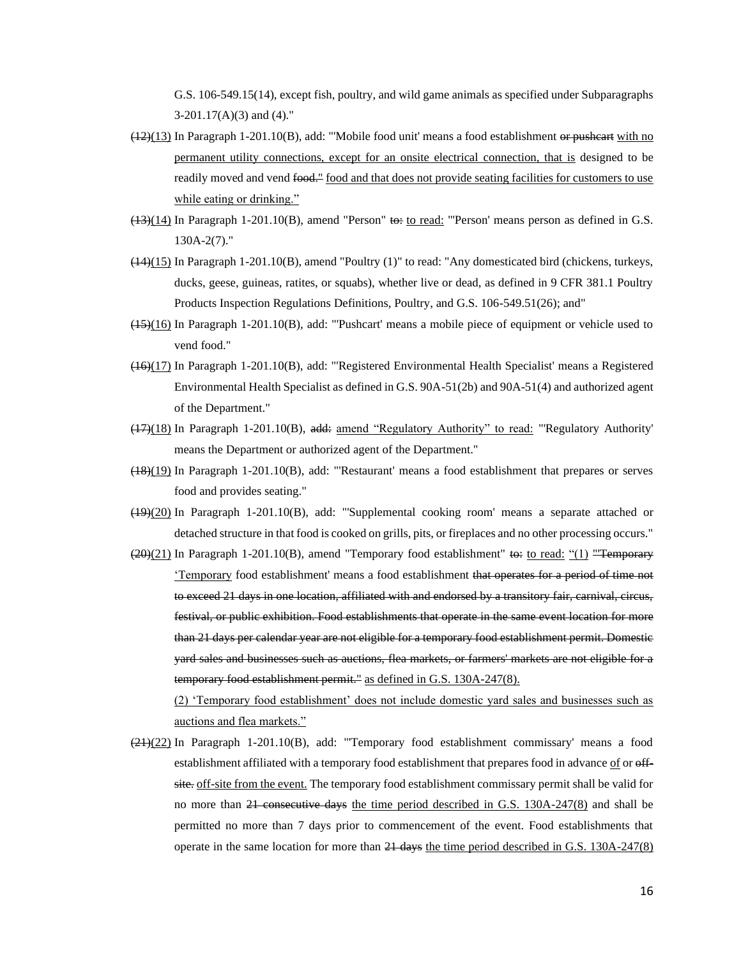G.S. 106-549.15(14), except fish, poultry, and wild game animals as specified under Subparagraphs  $3-201.17(A)(3)$  and  $(4)$ ."

- $(12)(13)$  In Paragraph 1-201.10(B), add: "Mobile food unit' means a food establishment or pusheart with no permanent utility connections, except for an onsite electrical connection, that is designed to be readily moved and vend food." food and that does not provide seating facilities for customers to use while eating or drinking."
- $(13)(14)$  In Paragraph 1-201.10(B), amend "Person" to: to read: "'Person' means person as defined in G.S. 130A-2(7)."
- $(14)(15)$  In Paragraph 1-201.10(B), amend "Poultry (1)" to read: "Any domesticated bird (chickens, turkeys, ducks, geese, guineas, ratites, or squabs), whether live or dead, as defined in 9 CFR 381.1 Poultry Products Inspection Regulations Definitions, Poultry, and G.S. 106-549.51(26); and"
- (15)(16) In Paragraph 1-201.10(B), add: "'Pushcart' means a mobile piece of equipment or vehicle used to vend food."
- (16)(17) In Paragraph 1-201.10(B), add: "'Registered Environmental Health Specialist' means a Registered Environmental Health Specialist as defined in G.S. 90A-51(2b) and 90A-51(4) and authorized agent of the Department."
- (17)(18) In Paragraph 1-201.10(B), add: amend "Regulatory Authority" to read: "'Regulatory Authority' means the Department or authorized agent of the Department."
- (18)(19) In Paragraph 1-201.10(B), add: "'Restaurant' means a food establishment that prepares or serves food and provides seating."
- (19)(20) In Paragraph 1-201.10(B), add: "'Supplemental cooking room' means a separate attached or detached structure in that food is cooked on grills, pits, or fireplaces and no other processing occurs."
- $(20)(21)$  In Paragraph 1-201.10(B), amend "Temporary food establishment" to: to read: "(1) "Temporary 'Temporary food establishment' means a food establishment that operates for a period of time not to exceed 21 days in one location, affiliated with and endorsed by a transitory fair, carnival, circus, festival, or public exhibition. Food establishments that operate in the same event location for more than 21 days per calendar year are not eligible for a temporary food establishment permit. Domestic yard sales and businesses such as auctions, flea markets, or farmers' markets are not eligible for a temporary food establishment permit." as defined in G.S. 130A-247(8).

(2) 'Temporary food establishment' does not include domestic yard sales and businesses such as auctions and flea markets."

(21)(22) In Paragraph 1-201.10(B), add: "'Temporary food establishment commissary' means a food establishment affiliated with a temporary food establishment that prepares food in advance of or  $\theta$ site. off-site from the event. The temporary food establishment commissary permit shall be valid for no more than 21 consecutive days the time period described in G.S. 130A-247(8) and shall be permitted no more than 7 days prior to commencement of the event. Food establishments that operate in the same location for more than  $21$  days the time period described in G.S. 130A-247(8)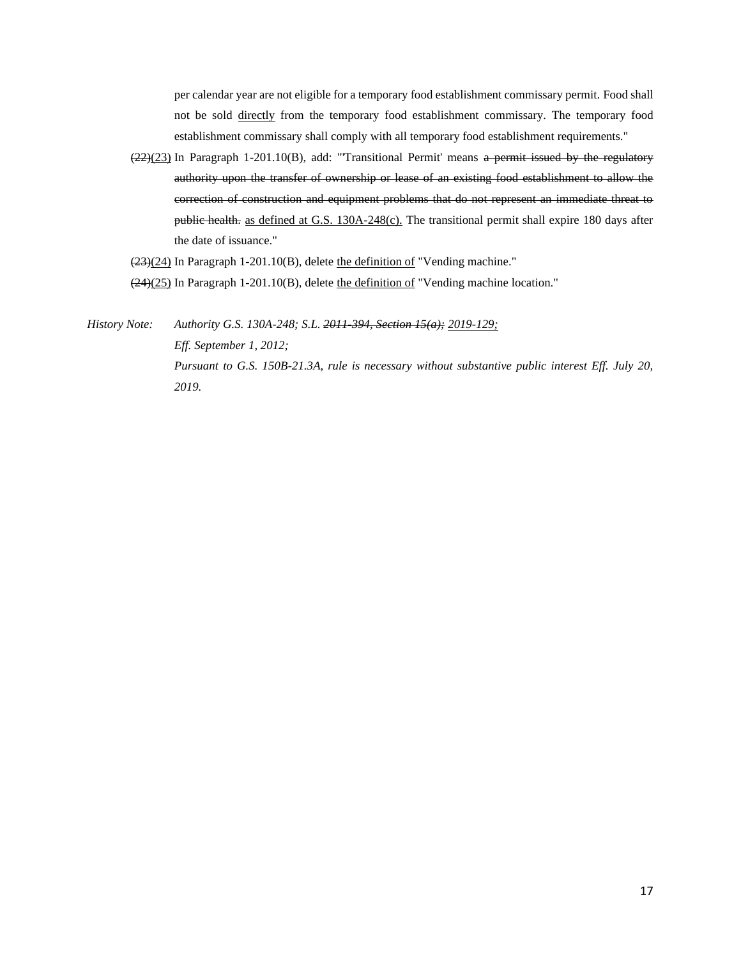per calendar year are not eligible for a temporary food establishment commissary permit. Food shall not be sold directly from the temporary food establishment commissary. The temporary food establishment commissary shall comply with all temporary food establishment requirements."

(22)(23) In Paragraph 1-201.10(B), add: "'Transitional Permit' means a permit issued by the regulatory authority upon the transfer of ownership or lease of an existing food establishment to allow the correction of construction and equipment problems that do not represent an immediate threat to public health. as defined at G.S. 130A-248(c). The transitional permit shall expire 180 days after the date of issuance."

(23)(24) In Paragraph 1-201.10(B), delete the definition of "Vending machine."

(24)(25) In Paragraph 1-201.10(B), delete the definition of "Vending machine location."

*History Note: Authority G.S. 130A-248; S.L. 2011-394, Section 15(a); 2019-129; Eff. September 1, 2012; Pursuant to G.S. 150B-21.3A, rule is necessary without substantive public interest Eff. July 20, 2019.*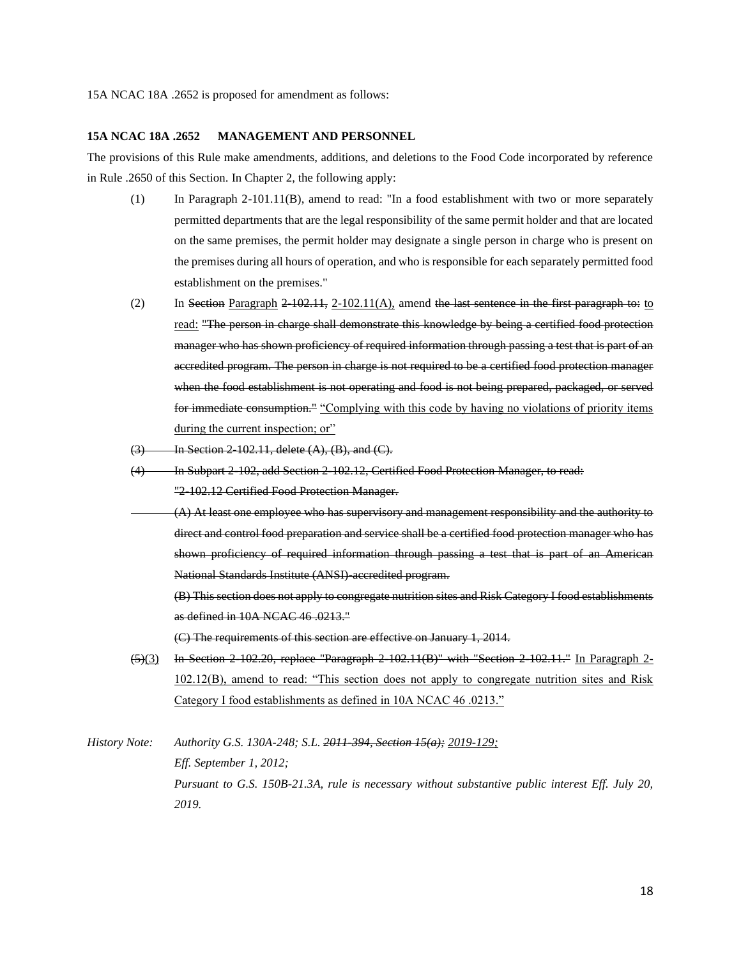#### **15A NCAC 18A .2652 MANAGEMENT AND PERSONNEL**

The provisions of this Rule make amendments, additions, and deletions to the Food Code incorporated by reference in Rule .2650 of this Section. In Chapter 2, the following apply:

- (1) In Paragraph 2-101.11(B), amend to read: "In a food establishment with two or more separately permitted departments that are the legal responsibility of the same permit holder and that are located on the same premises, the permit holder may designate a single person in charge who is present on the premises during all hours of operation, and who is responsible for each separately permitted food establishment on the premises."
- (2) In Section Paragraph  $2$  -102.11, 2-102.11(A), amend the last sentence in the first paragraph to: to read: "The person in charge shall demonstrate this knowledge by being a certified food protection manager who has shown proficiency of required information through passing a test that is part of an accredited program. The person in charge is not required to be a certified food protection manager when the food establishment is not operating and food is not being prepared, packaged, or served for immediate consumption." "Complying with this code by having no violations of priority items during the current inspection; or"
- $(3)$  In Section 2-102.11, delete  $(A)$ ,  $(B)$ , and  $(C)$ .
- (4) In Subpart 2-102, add Section 2-102.12, Certified Food Protection Manager, to read: "2-102.12 Certified Food Protection Manager.
	- (A) At least one employee who has supervisory and management responsibility and the authority to direct and control food preparation and service shall be a certified food protection manager who has shown proficiency of required information through passing a test that is part of an American National Standards Institute (ANSI)-accredited program.
		- (B) This section does not apply to congregate nutrition sites and Risk Category I food establishments as defined in 10A NCAC 46 .0213."

(C) The requirements of this section are effective on January 1, 2014.

- $(5)(3)$  In Section 2-102.20, replace "Paragraph 2-102.11(B)" with "Section 2-102.11." In Paragraph 2-102.12(B), amend to read: "This section does not apply to congregate nutrition sites and Risk Category I food establishments as defined in 10A NCAC 46 .0213."
- *History Note: Authority G.S. 130A-248; S.L. 2011-394, Section 15(a); 2019-129; Eff. September 1, 2012; Pursuant to G.S. 150B-21.3A, rule is necessary without substantive public interest Eff. July 20, 2019.*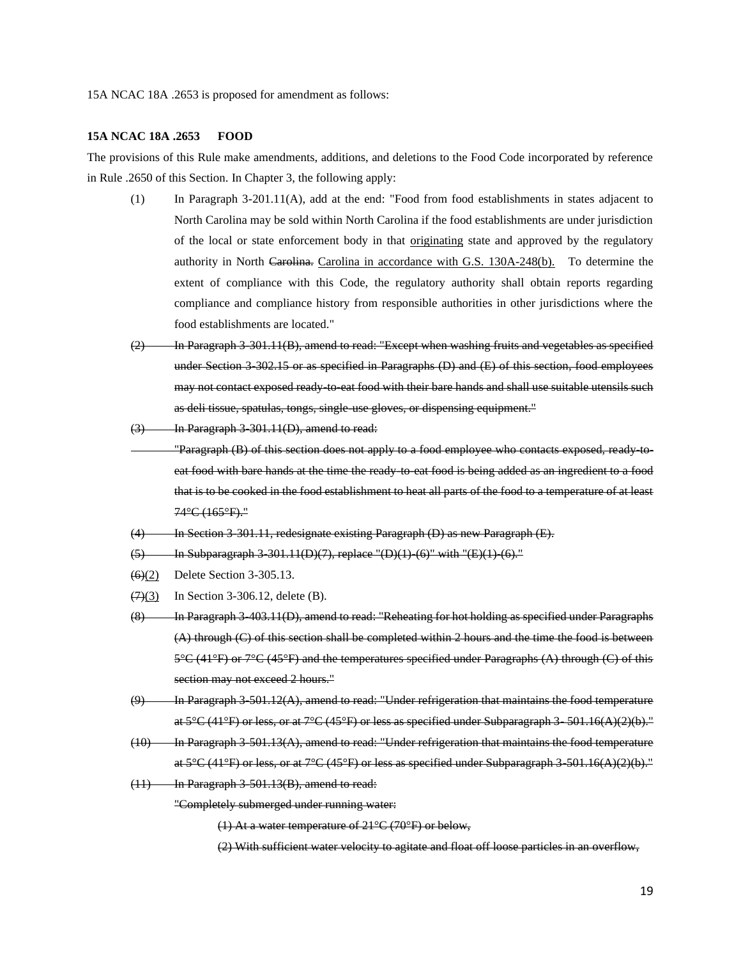15A NCAC 18A .2653 is proposed for amendment as follows:

#### **15A NCAC 18A .2653 FOOD**

The provisions of this Rule make amendments, additions, and deletions to the Food Code incorporated by reference in Rule .2650 of this Section. In Chapter 3, the following apply:

- (1) In Paragraph 3-201.11(A), add at the end: "Food from food establishments in states adjacent to North Carolina may be sold within North Carolina if the food establishments are under jurisdiction of the local or state enforcement body in that originating state and approved by the regulatory authority in North Carolina. Carolina in accordance with G.S. 130A-248(b). To determine the extent of compliance with this Code, the regulatory authority shall obtain reports regarding compliance and compliance history from responsible authorities in other jurisdictions where the food establishments are located."
- (2) In Paragraph 3-301.11(B), amend to read: "Except when washing fruits and vegetables as specified under Section 3-302.15 or as specified in Paragraphs (D) and (E) of this section, food employees may not contact exposed ready-to-eat food with their bare hands and shall use suitable utensils such as deli tissue, spatulas, tongs, single-use gloves, or dispensing equipment."
- (3) In Paragraph 3-301.11(D), amend to read:
- "Paragraph (B) of this section does not apply to a food employee who contacts exposed, ready-toeat food with bare hands at the time the ready-to-eat food is being added as an ingredient to a food that is to be cooked in the food establishment to heat all parts of the food to a temperature of at least 74°C (165°F)."
- (4) In Section 3-301.11, redesignate existing Paragraph (D) as new Paragraph (E).
- $(5)$  In Subparagraph 3-301.11(D)(7), replace "(D)(1)-(6)" with "(E)(1)-(6)."
- (6)(2) Delete Section 3-305.13.
- $(7)(3)$  In Section 3-306.12, delete (B).
- (8) In Paragraph 3-403.11(D), amend to read: "Reheating for hot holding as specified under Paragraphs (A) through (C) of this section shall be completed within 2 hours and the time the food is between 5°C (41°F) or 7°C (45°F) and the temperatures specified under Paragraphs (A) through (C) of this section may not exceed 2 hours."
- $(9)$  In Paragraph 3-501.12(A), amend to read: "Under refrigeration that maintains the food temperature at  $5^{\circ}C$  (41 $^{\circ}F$ ) or less, or at  $7^{\circ}C$  (45 $^{\circ}F$ ) or less as specified under Subparagraph 3  $-501.16(A)(2)(b)$ ."
- $(10)$  In Paragraph 3-501.13(A), amend to read: "Under refrigeration that maintains the food temperature at  $5^{\circ}C$  (41 $^{\circ}F$ ) or less, or at  $7^{\circ}C$  (45 $^{\circ}F$ ) or less as specified under Subparagraph 3-501.16(A)(2)(b)."
- $(11)$  In Paragraph 3-501.13(B), amend to read:

"Completely submerged under running water:

(1) At a water temperature of 21°C (70°F) or below,

(2) With sufficient water velocity to agitate and float off loose particles in an overflow,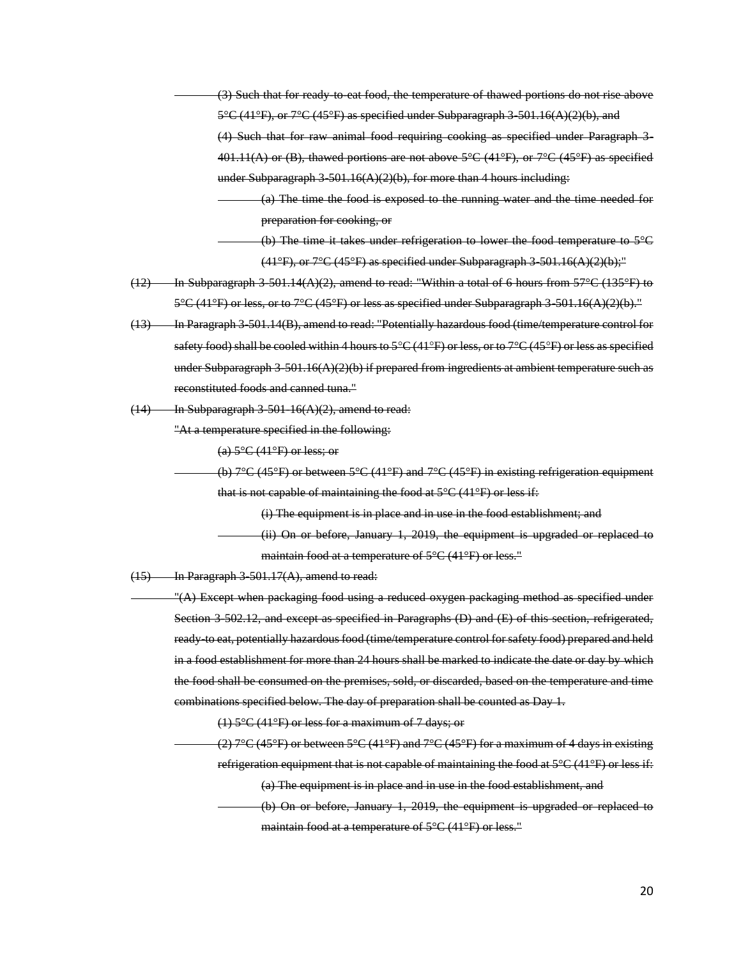(3) Such that for ready-to-eat food, the temperature of thawed portions do not rise above  $5^{\circ}$ C (41°F), or  $7^{\circ}$ C (45°F) as specified under Subparagraph 3-501.16(A)(2)(b), and (4) Such that for raw animal food requiring cooking as specified under Paragraph 3- 401.11(A) or (B), thawed portions are not above  $5^{\circ}C$  (41 $^{\circ}F$ ), or  $7^{\circ}C$  (45 $^{\circ}F$ ) as specified under Subparagraph  $3-501.16(A)(2)(b)$ , for more than 4 hours including:

(a) The time the food is exposed to the running water and the time needed for preparation for cooking, or

- (b) The time it takes under refrigeration to lower the food temperature to 5°C  $(41°F)$ , or  $7°C$  (45°F) as specified under Subparagraph 3-501.16(A)(2)(b);"
- $(12)$  In Subparagraph 3-501.14(A)(2), amend to read: "Within a total of 6 hours from 57°C (135°F) to  $5^{\circ}C$  (41 $^{\circ}F$ ) or less, or to  $7^{\circ}C$  (45 $^{\circ}F$ ) or less as specified under Subparagraph 3-501.16(A)(2)(b)."
- (13) In Paragraph 3-501.14(B), amend to read: "Potentially hazardous food (time/temperature control for safety food) shall be cooled within 4 hours to 5°C (41°F) or less, or to 7°C (45°F) or less as specified under Subparagraph  $3-501.16(A)(2)(b)$  if prepared from ingredients at ambient temperature such as reconstituted foods and canned tuna."
- $(14)$  In Subparagraph 3-501-16(A)(2), amend to read:

"At a temperature specified in the following:

(a)  $5^{\circ}$ C (41 $^{\circ}$ F) or less; or

(b)  $7^{\circ}$ C (45<sup>o</sup>F) or between  $5^{\circ}$ C (41<sup>o</sup>F) and  $7^{\circ}$ C (45<sup>o</sup>F) in existing refrigeration equipment that is not capable of maintaining the food at  $5^{\circ}C(41^{\circ}F)$  or less if:

(i) The equipment is in place and in use in the food establishment; and

(ii) On or before, January 1, 2019, the equipment is upgraded or replaced to maintain food at a temperature of 5°C (41°F) or less."

 $(15)$  In Paragraph 3-501.17(A), amend to read:

"(A) Except when packaging food using a reduced oxygen packaging method as specified under Section 3-502.12, and except as specified in Paragraphs (D) and (E) of this section, refrigerated, ready-to eat, potentially hazardous food (time/temperature control for safety food) prepared and held in a food establishment for more than 24 hours shall be marked to indicate the date or day by which the food shall be consumed on the premises, sold, or discarded, based on the temperature and time combinations specified below. The day of preparation shall be counted as Day 1.

(1) 5°C (41°F) or less for a maximum of 7 days; or

(2)  $7^{\circ}$ C (45°F) or between  $5^{\circ}$ C (41°F) and  $7^{\circ}$ C (45°F) for a maximum of 4 days in existing refrigeration equipment that is not capable of maintaining the food at  $5^{\circ}C(41^{\circ}F)$  or less if:

(a) The equipment is in place and in use in the food establishment, and

(b) On or before, January 1, 2019, the equipment is upgraded or replaced to maintain food at a temperature of 5°C (41°F) or less."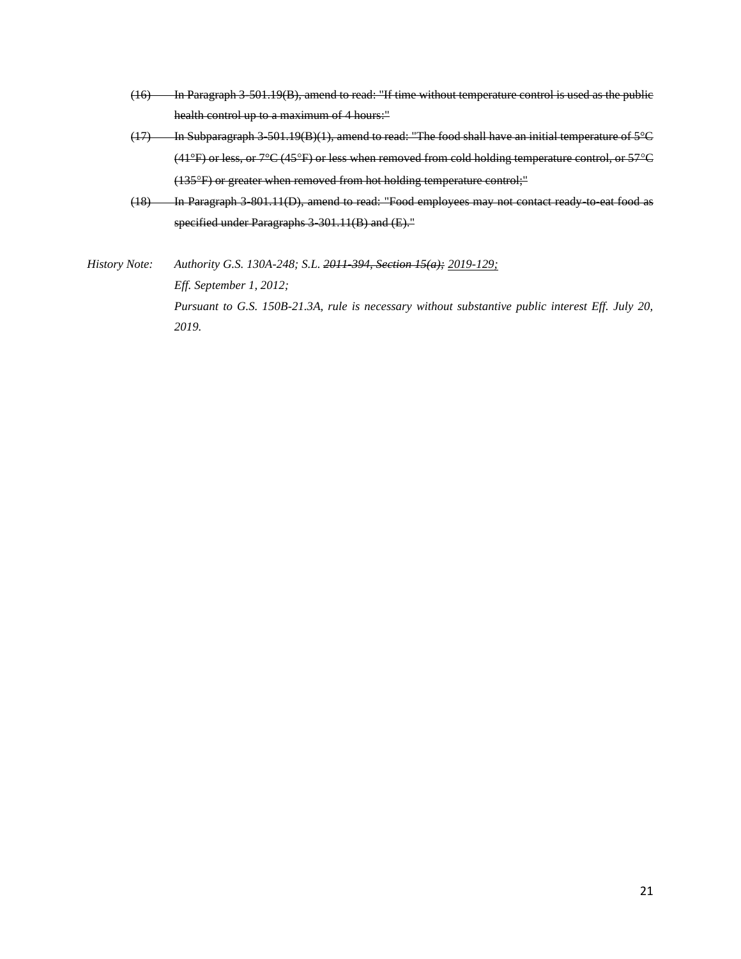- (16) In Paragraph 3-501.19(B), amend to read: "If time without temperature control is used as the public health control up to a maximum of 4 hours:"
- (17) In Subparagraph 3-501.19(B)(1), amend to read: "The food shall have an initial temperature of 5°C (41°F) or less, or 7°C (45F) or less when removed from cold holding temperature control, or 57C (135°F) or greater when removed from hot holding temperature control;"
- (18) In Paragraph 3-801.11(D), amend to read: "Food employees may not contact ready-to-eat food as specified under Paragraphs 3-301.11(B) and (E)."
- *History Note: Authority G.S. 130A-248; S.L. 2011-394, Section 15(a); 2019-129; Eff. September 1, 2012; Pursuant to G.S. 150B-21.3A, rule is necessary without substantive public interest Eff. July 20, 2019.*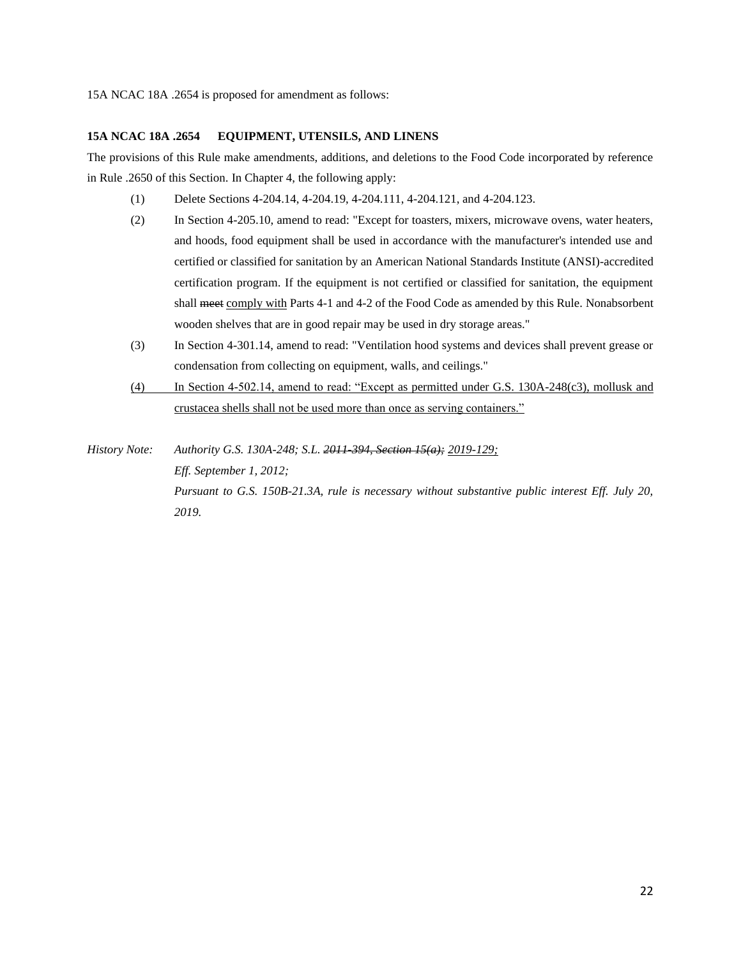#### **15A NCAC 18A .2654 EQUIPMENT, UTENSILS, AND LINENS**

The provisions of this Rule make amendments, additions, and deletions to the Food Code incorporated by reference in Rule .2650 of this Section. In Chapter 4, the following apply:

- (1) Delete Sections 4-204.14, 4-204.19, 4-204.111, 4-204.121, and 4-204.123.
- (2) In Section 4-205.10, amend to read: "Except for toasters, mixers, microwave ovens, water heaters, and hoods, food equipment shall be used in accordance with the manufacturer's intended use and certified or classified for sanitation by an American National Standards Institute (ANSI)-accredited certification program. If the equipment is not certified or classified for sanitation, the equipment shall meet comply with Parts 4-1 and 4-2 of the Food Code as amended by this Rule. Nonabsorbent wooden shelves that are in good repair may be used in dry storage areas."
- (3) In Section 4-301.14, amend to read: "Ventilation hood systems and devices shall prevent grease or condensation from collecting on equipment, walls, and ceilings."
- (4) In Section 4-502.14, amend to read: "Except as permitted under G.S. 130A-248(c3), mollusk and crustacea shells shall not be used more than once as serving containers."
- *History Note: Authority G.S. 130A-248; S.L. 2011-394, Section 15(a); 2019-129; Eff. September 1, 2012; Pursuant to G.S. 150B-21.3A, rule is necessary without substantive public interest Eff. July 20, 2019.*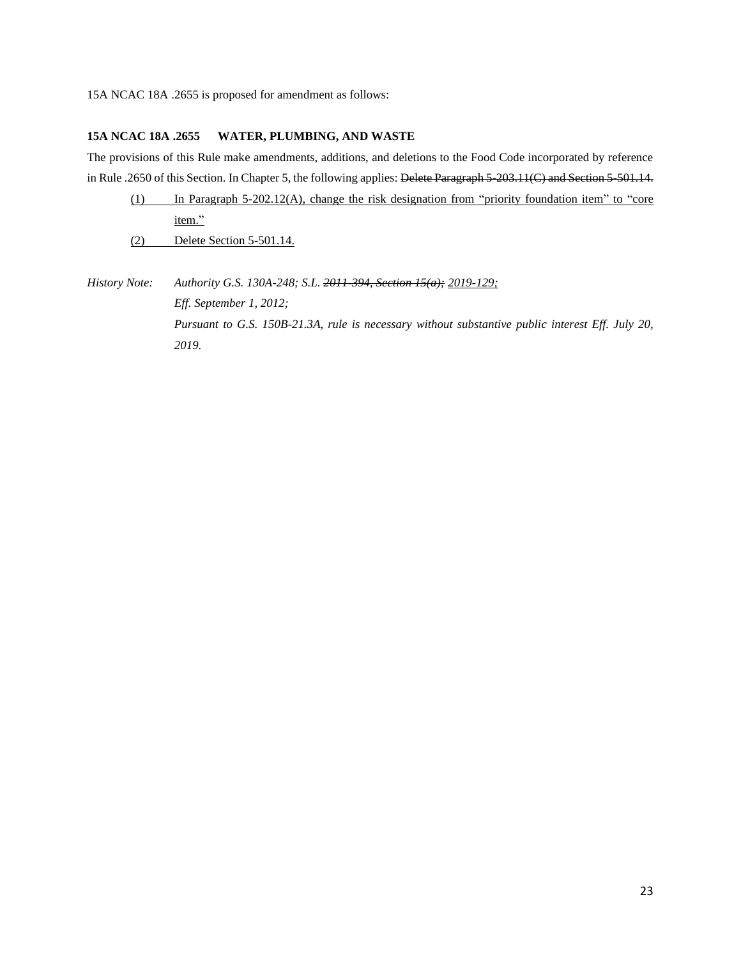15A NCAC 18A .2655 is proposed for amendment as follows:

#### **15A NCAC 18A .2655 WATER, PLUMBING, AND WASTE**

The provisions of this Rule make amendments, additions, and deletions to the Food Code incorporated by reference in Rule .2650 of this Section. In Chapter 5, the following applies: Delete Paragraph 5-203.11(C) and Section 5-501.14.

|     | In Paragraph $5-202.12(A)$ , change the risk designation from "priority foundation item" to "core" |
|-----|----------------------------------------------------------------------------------------------------|
|     | item."                                                                                             |
| (2) | Delete Section 5-501.14.                                                                           |

*History Note: Authority G.S. 130A-248; S.L. 2011-394, Section 15(a); 2019-129; Eff. September 1, 2012; Pursuant to G.S. 150B-21.3A, rule is necessary without substantive public interest Eff. July 20, 2019.*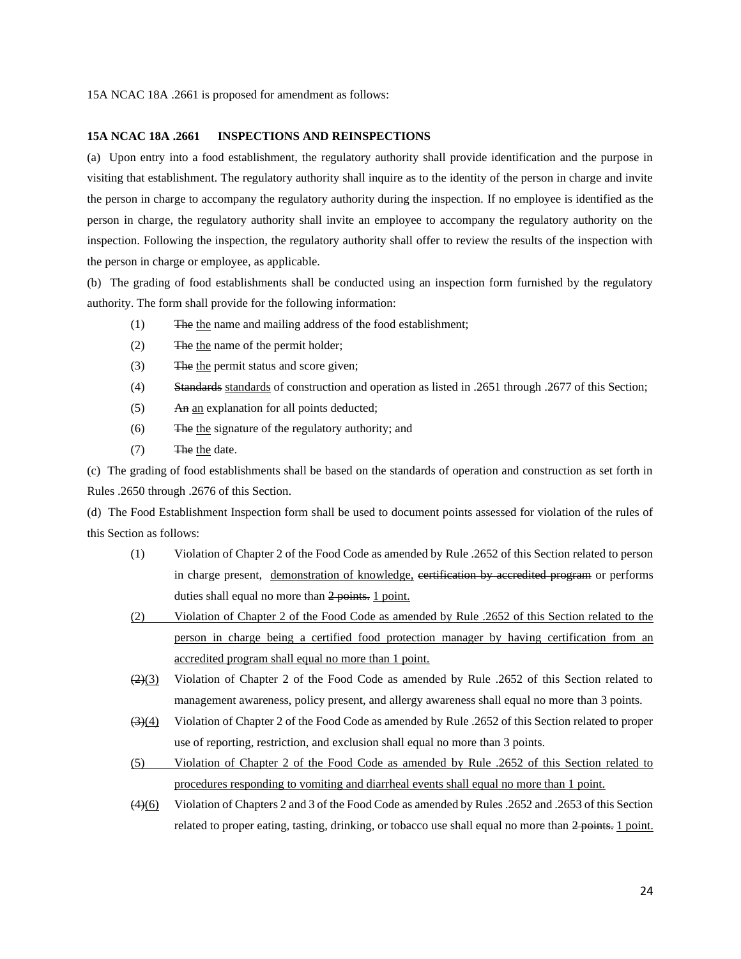#### **15A NCAC 18A .2661 INSPECTIONS AND REINSPECTIONS**

(a) Upon entry into a food establishment, the regulatory authority shall provide identification and the purpose in visiting that establishment. The regulatory authority shall inquire as to the identity of the person in charge and invite the person in charge to accompany the regulatory authority during the inspection. If no employee is identified as the person in charge, the regulatory authority shall invite an employee to accompany the regulatory authority on the inspection. Following the inspection, the regulatory authority shall offer to review the results of the inspection with the person in charge or employee, as applicable.

(b) The grading of food establishments shall be conducted using an inspection form furnished by the regulatory authority. The form shall provide for the following information:

- (1) The the name and mailing address of the food establishment;
- (2) The the name of the permit holder;
- (3) The the permit status and score given;
- (4) Standards standards of construction and operation as listed in .2651 through .2677 of this Section;
- (5) An an explanation for all points deducted;
- (6) The the signature of the regulatory authority; and
- (7) The the date.

(c) The grading of food establishments shall be based on the standards of operation and construction as set forth in Rules .2650 through .2676 of this Section.

(d) The Food Establishment Inspection form shall be used to document points assessed for violation of the rules of this Section as follows:

- (1) Violation of Chapter 2 of the Food Code as amended by Rule .2652 of this Section related to person in charge present, demonstration of knowledge, certification by accredited program or performs duties shall equal no more than 2 points. 1 point.
- (2) Violation of Chapter 2 of the Food Code as amended by Rule .2652 of this Section related to the person in charge being a certified food protection manager by having certification from an accredited program shall equal no more than 1 point.
- $\left(\frac{2}{(2)}\right)$  Violation of Chapter 2 of the Food Code as amended by Rule .2652 of this Section related to management awareness, policy present, and allergy awareness shall equal no more than 3 points.
- $(3)(4)$  Violation of Chapter 2 of the Food Code as amended by Rule .2652 of this Section related to proper use of reporting, restriction, and exclusion shall equal no more than 3 points.
- (5) Violation of Chapter 2 of the Food Code as amended by Rule .2652 of this Section related to procedures responding to vomiting and diarrheal events shall equal no more than 1 point.
- $\left(4\right)$ (6) Violation of Chapters 2 and 3 of the Food Code as amended by Rules .2652 and .2653 of this Section related to proper eating, tasting, drinking, or tobacco use shall equal no more than 2 points. 1 point.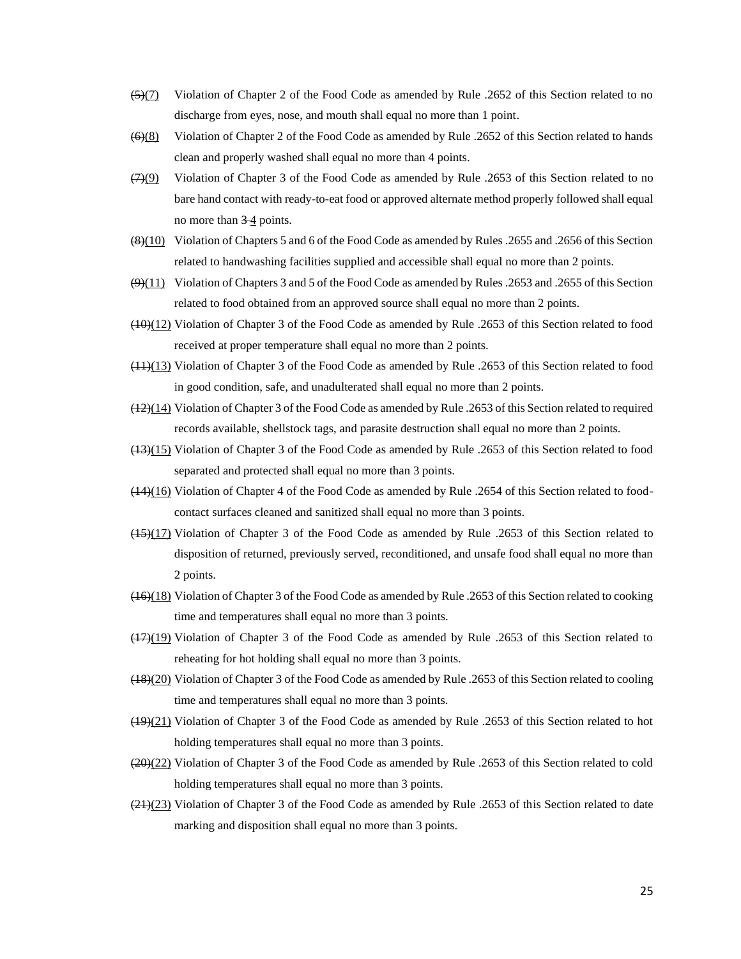- $(5)(7)$  Violation of Chapter 2 of the Food Code as amended by Rule .2652 of this Section related to no discharge from eyes, nose, and mouth shall equal no more than 1 point.
- $(6)(8)$  Violation of Chapter 2 of the Food Code as amended by Rule .2652 of this Section related to hands clean and properly washed shall equal no more than 4 points.
- $(7)(9)$  Violation of Chapter 3 of the Food Code as amended by Rule .2653 of this Section related to no bare hand contact with ready-to-eat food or approved alternate method properly followed shall equal no more than  $3-4$  points.
- $\left(\frac{8}{10}\right)$  Violation of Chapters 5 and 6 of the Food Code as amended by Rules .2655 and .2656 of this Section related to handwashing facilities supplied and accessible shall equal no more than 2 points.
- $(9)(11)$  Violation of Chapters 3 and 5 of the Food Code as amended by Rules .2653 and .2655 of this Section related to food obtained from an approved source shall equal no more than 2 points.
- $(10)(12)$  Violation of Chapter 3 of the Food Code as amended by Rule .2653 of this Section related to food received at proper temperature shall equal no more than 2 points.
- (11)(13) Violation of Chapter 3 of the Food Code as amended by Rule .2653 of this Section related to food in good condition, safe, and unadulterated shall equal no more than 2 points.
- (12)(14) Violation of Chapter 3 of the Food Code as amended by Rule .2653 of this Section related to required records available, shellstock tags, and parasite destruction shall equal no more than 2 points.
- (13)(15) Violation of Chapter 3 of the Food Code as amended by Rule .2653 of this Section related to food separated and protected shall equal no more than 3 points.
- $(14)(16)$  Violation of Chapter 4 of the Food Code as amended by Rule .2654 of this Section related to foodcontact surfaces cleaned and sanitized shall equal no more than 3 points.
- (15)(17) Violation of Chapter 3 of the Food Code as amended by Rule .2653 of this Section related to disposition of returned, previously served, reconditioned, and unsafe food shall equal no more than 2 points.
- (16)(18) Violation of Chapter 3 of the Food Code as amended by Rule .2653 of this Section related to cooking time and temperatures shall equal no more than 3 points.
- (17)(19) Violation of Chapter 3 of the Food Code as amended by Rule .2653 of this Section related to reheating for hot holding shall equal no more than 3 points.
- (18)(20) Violation of Chapter 3 of the Food Code as amended by Rule .2653 of this Section related to cooling time and temperatures shall equal no more than 3 points.
- (19)(21) Violation of Chapter 3 of the Food Code as amended by Rule .2653 of this Section related to hot holding temperatures shall equal no more than 3 points.
- $(20)(22)$  Violation of Chapter 3 of the Food Code as amended by Rule .2653 of this Section related to cold holding temperatures shall equal no more than 3 points.
- $\left(\frac{21}{23}\right)$  Violation of Chapter 3 of the Food Code as amended by Rule .2653 of this Section related to date marking and disposition shall equal no more than 3 points.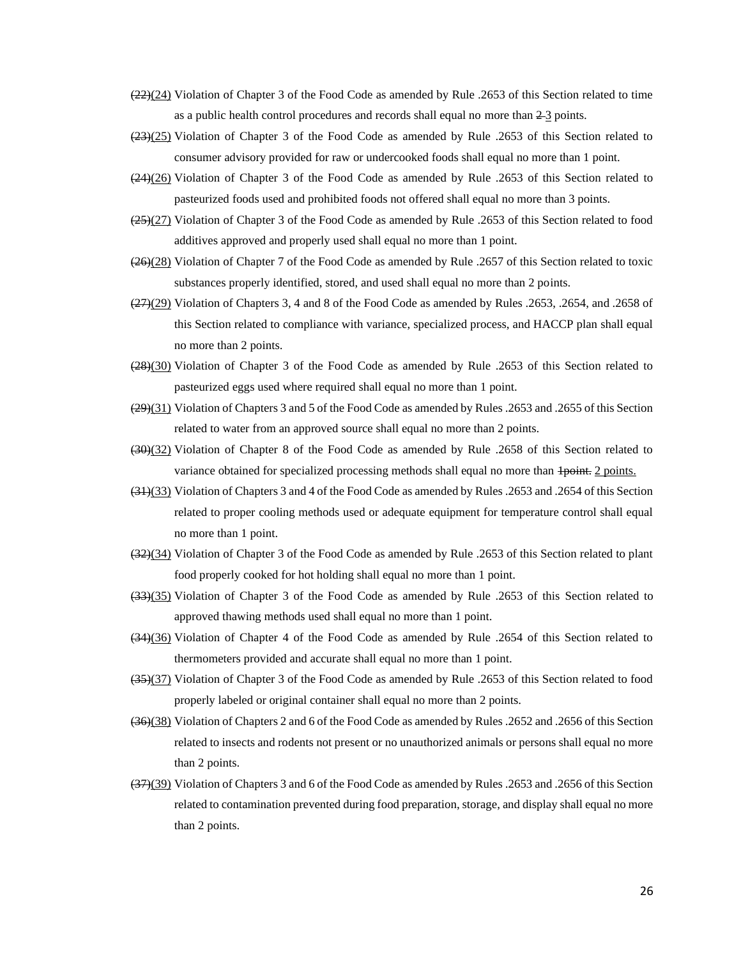- $\left(\frac{22}{2}\right)$  Violation of Chapter 3 of the Food Code as amended by Rule .2653 of this Section related to time as a public health control procedures and records shall equal no more than  $2-3$  points.
- (23)(25) Violation of Chapter 3 of the Food Code as amended by Rule .2653 of this Section related to consumer advisory provided for raw or undercooked foods shall equal no more than 1 point.
- (24)(26) Violation of Chapter 3 of the Food Code as amended by Rule .2653 of this Section related to pasteurized foods used and prohibited foods not offered shall equal no more than 3 points.
- $(25)(27)$  Violation of Chapter 3 of the Food Code as amended by Rule .2653 of this Section related to food additives approved and properly used shall equal no more than 1 point.
- $(26)(28)$  Violation of Chapter 7 of the Food Code as amended by Rule .2657 of this Section related to toxic substances properly identified, stored, and used shall equal no more than 2 points.
- $\left(\frac{27}{29}\right)$  Violation of Chapters 3, 4 and 8 of the Food Code as amended by Rules .2653, .2654, and .2658 of this Section related to compliance with variance, specialized process, and HACCP plan shall equal no more than 2 points.
- (28)(30) Violation of Chapter 3 of the Food Code as amended by Rule .2653 of this Section related to pasteurized eggs used where required shall equal no more than 1 point.
- $(29)(31)$  Violation of Chapters 3 and 5 of the Food Code as amended by Rules .2653 and .2655 of this Section related to water from an approved source shall equal no more than 2 points.
- (30)(32) Violation of Chapter 8 of the Food Code as amended by Rule .2658 of this Section related to variance obtained for specialized processing methods shall equal no more than  $\frac{1}{1}$  points.
- (31)(33) Violation of Chapters 3 and 4 of the Food Code as amended by Rules .2653 and .2654 of this Section related to proper cooling methods used or adequate equipment for temperature control shall equal no more than 1 point.
- (32)(34) Violation of Chapter 3 of the Food Code as amended by Rule .2653 of this Section related to plant food properly cooked for hot holding shall equal no more than 1 point.
- (33)(35) Violation of Chapter 3 of the Food Code as amended by Rule .2653 of this Section related to approved thawing methods used shall equal no more than 1 point.
- (34)(36) Violation of Chapter 4 of the Food Code as amended by Rule .2654 of this Section related to thermometers provided and accurate shall equal no more than 1 point.
- (35)(37) Violation of Chapter 3 of the Food Code as amended by Rule .2653 of this Section related to food properly labeled or original container shall equal no more than 2 points.
- (36)(38) Violation of Chapters 2 and 6 of the Food Code as amended by Rules .2652 and .2656 of this Section related to insects and rodents not present or no unauthorized animals or persons shall equal no more than 2 points.
- (37)(39) Violation of Chapters 3 and 6 of the Food Code as amended by Rules .2653 and .2656 of this Section related to contamination prevented during food preparation, storage, and display shall equal no more than 2 points.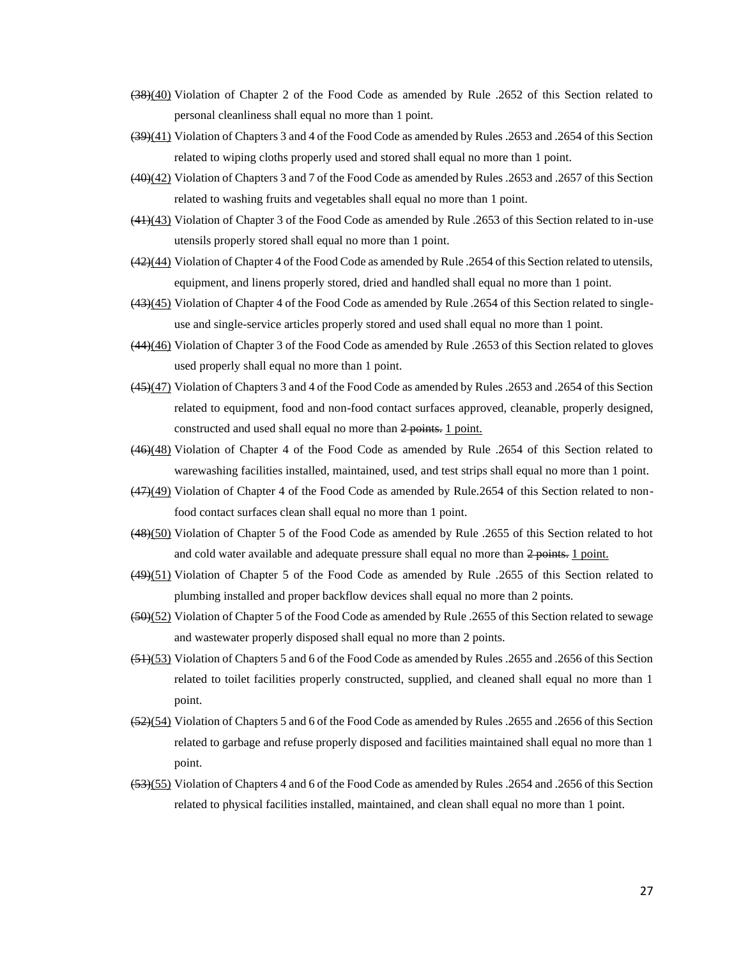- (38)(40) Violation of Chapter 2 of the Food Code as amended by Rule .2652 of this Section related to personal cleanliness shall equal no more than 1 point.
- (39)(41) Violation of Chapters 3 and 4 of the Food Code as amended by Rules .2653 and .2654 of this Section related to wiping cloths properly used and stored shall equal no more than 1 point.
- (40)(42) Violation of Chapters 3 and 7 of the Food Code as amended by Rules .2653 and .2657 of this Section related to washing fruits and vegetables shall equal no more than 1 point.
- (41)(43) Violation of Chapter 3 of the Food Code as amended by Rule .2653 of this Section related to in-use utensils properly stored shall equal no more than 1 point.
- (42)(44) Violation of Chapter 4 of the Food Code as amended by Rule .2654 of this Section related to utensils, equipment, and linens properly stored, dried and handled shall equal no more than 1 point.
- (43)(45) Violation of Chapter 4 of the Food Code as amended by Rule .2654 of this Section related to singleuse and single-service articles properly stored and used shall equal no more than 1 point.
- (44)(46) Violation of Chapter 3 of the Food Code as amended by Rule .2653 of this Section related to gloves used properly shall equal no more than 1 point.
- (45)(47) Violation of Chapters 3 and 4 of the Food Code as amended by Rules .2653 and .2654 of this Section related to equipment, food and non-food contact surfaces approved, cleanable, properly designed, constructed and used shall equal no more than 2 points. 1 point.
- (46)(48) Violation of Chapter 4 of the Food Code as amended by Rule .2654 of this Section related to warewashing facilities installed, maintained, used, and test strips shall equal no more than 1 point.
- $(47)(49)$  Violation of Chapter 4 of the Food Code as amended by Rule.2654 of this Section related to nonfood contact surfaces clean shall equal no more than 1 point.
- (48)(50) Violation of Chapter 5 of the Food Code as amended by Rule .2655 of this Section related to hot and cold water available and adequate pressure shall equal no more than  $2$  points. 1 point.
- (49)(51) Violation of Chapter 5 of the Food Code as amended by Rule .2655 of this Section related to plumbing installed and proper backflow devices shall equal no more than 2 points.
- (50)(52) Violation of Chapter 5 of the Food Code as amended by Rule .2655 of this Section related to sewage and wastewater properly disposed shall equal no more than 2 points.
- (51)(53) Violation of Chapters 5 and 6 of the Food Code as amended by Rules .2655 and .2656 of this Section related to toilet facilities properly constructed, supplied, and cleaned shall equal no more than 1 point.
- (52)(54) Violation of Chapters 5 and 6 of the Food Code as amended by Rules .2655 and .2656 of this Section related to garbage and refuse properly disposed and facilities maintained shall equal no more than 1 point.
- (53)(55) Violation of Chapters 4 and 6 of the Food Code as amended by Rules .2654 and .2656 of this Section related to physical facilities installed, maintained, and clean shall equal no more than 1 point.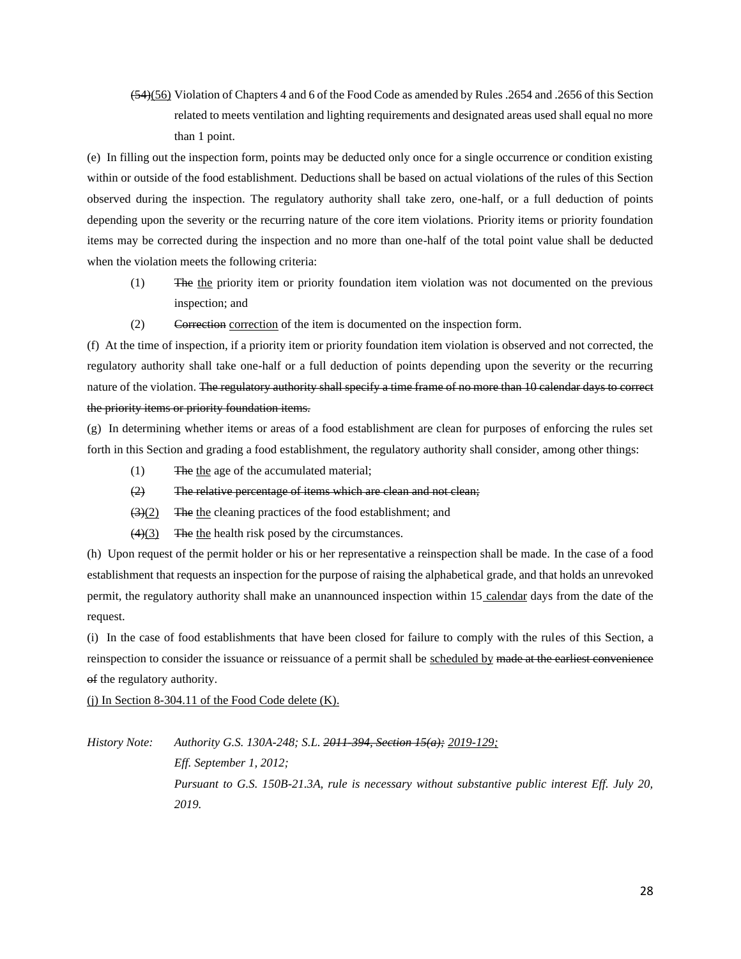(54)(56) Violation of Chapters 4 and 6 of the Food Code as amended by Rules .2654 and .2656 of this Section related to meets ventilation and lighting requirements and designated areas used shall equal no more than 1 point.

(e) In filling out the inspection form, points may be deducted only once for a single occurrence or condition existing within or outside of the food establishment. Deductions shall be based on actual violations of the rules of this Section observed during the inspection. The regulatory authority shall take zero, one-half, or a full deduction of points depending upon the severity or the recurring nature of the core item violations. Priority items or priority foundation items may be corrected during the inspection and no more than one-half of the total point value shall be deducted when the violation meets the following criteria:

- (1) The the priority item or priority foundation item violation was not documented on the previous inspection; and
- (2) Correction correction of the item is documented on the inspection form.

(f) At the time of inspection, if a priority item or priority foundation item violation is observed and not corrected, the regulatory authority shall take one-half or a full deduction of points depending upon the severity or the recurring nature of the violation. The regulatory authority shall specify a time frame of no more than 10 calendar days to correct the priority items or priority foundation items.

(g) In determining whether items or areas of a food establishment are clean for purposes of enforcing the rules set forth in this Section and grading a food establishment, the regulatory authority shall consider, among other things:

- (1) The the age of the accumulated material;
- (2) The relative percentage of items which are clean and not clean;
- $\left(\frac{3}{2}\right)$  The the cleaning practices of the food establishment; and
- $(4)(3)$  The the health risk posed by the circumstances.

(h) Upon request of the permit holder or his or her representative a reinspection shall be made. In the case of a food establishment that requests an inspection for the purpose of raising the alphabetical grade, and that holds an unrevoked permit, the regulatory authority shall make an unannounced inspection within 15 calendar days from the date of the request.

(i) In the case of food establishments that have been closed for failure to comply with the rules of this Section, a reinspection to consider the issuance or reissuance of a permit shall be scheduled by made at the earliest convenience of the regulatory authority.

(i) In Section 8-304.11 of the Food Code delete  $(K)$ .

*History Note: Authority G.S. 130A-248; S.L. 2011-394, Section 15(a); 2019-129; Eff. September 1, 2012; Pursuant to G.S. 150B-21.3A, rule is necessary without substantive public interest Eff. July 20, 2019.*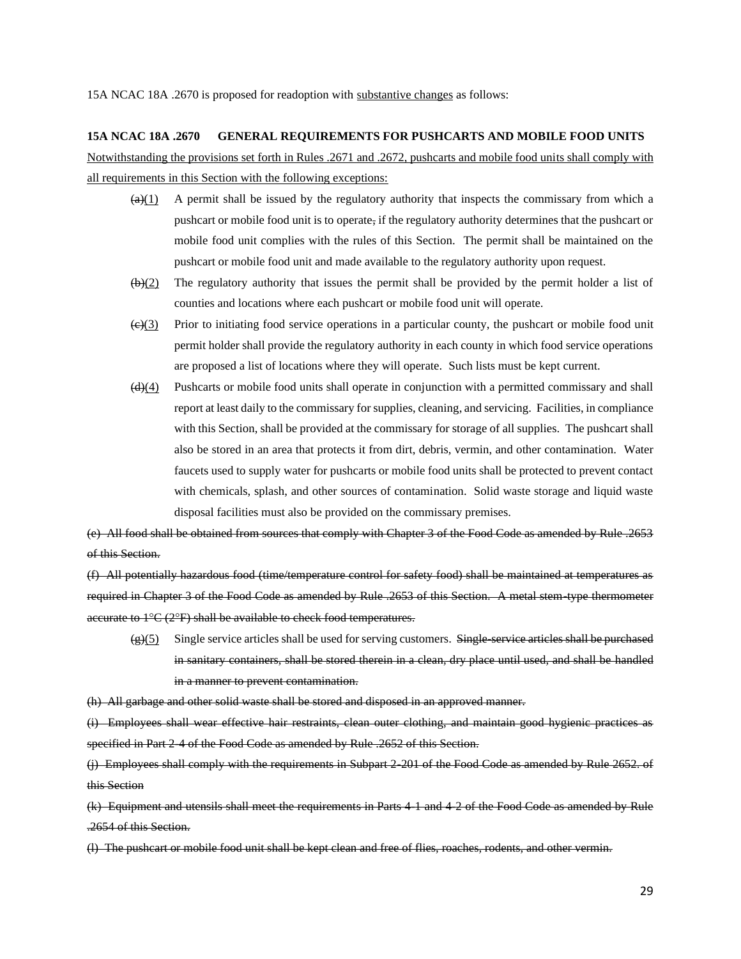15A NCAC 18A .2670 is proposed for readoption with substantive changes as follows:

#### **15A NCAC 18A .2670 GENERAL REQUIREMENTS FOR PUSHCARTS AND MOBILE FOOD UNITS**

Notwithstanding the provisions set forth in Rules .2671 and .2672, pushcarts and mobile food units shall comply with all requirements in this Section with the following exceptions:

- $\left(\frac{a}{(4)}\right)$  A permit shall be issued by the regulatory authority that inspects the commissary from which a pushcart or mobile food unit is to operate, if the regulatory authority determines that the pushcart or mobile food unit complies with the rules of this Section. The permit shall be maintained on the pushcart or mobile food unit and made available to the regulatory authority upon request.
- $(\theta)(2)$  The regulatory authority that issues the permit shall be provided by the permit holder a list of counties and locations where each pushcart or mobile food unit will operate.
- $\left(\frac{e}{(2)}\right)$  Prior to initiating food service operations in a particular county, the pushcart or mobile food unit permit holder shall provide the regulatory authority in each county in which food service operations are proposed a list of locations where they will operate. Such lists must be kept current.
- $\left(\frac{d}{d}\right)$  Pushcarts or mobile food units shall operate in conjunction with a permitted commissary and shall report at least daily to the commissary for supplies, cleaning, and servicing. Facilities, in compliance with this Section, shall be provided at the commissary for storage of all supplies. The pushcart shall also be stored in an area that protects it from dirt, debris, vermin, and other contamination. Water faucets used to supply water for pushcarts or mobile food units shall be protected to prevent contact with chemicals, splash, and other sources of contamination. Solid waste storage and liquid waste disposal facilities must also be provided on the commissary premises.

(e) All food shall be obtained from sources that comply with Chapter 3 of the Food Code as amended by Rule .2653 of this Section.

(f) All potentially hazardous food (time/temperature control for safety food) shall be maintained at temperatures as required in Chapter 3 of the Food Code as amended by Rule .2653 of this Section. A metal stem-type thermometer accurate to  $1^{\circ}C$  (2 $^{\circ}F$ ) shall be available to check food temperatures.

 $(g)(5)$  Single service articles shall be used for serving customers. Single-service articles shall be purchased in sanitary containers, shall be stored therein in a clean, dry place until used, and shall be handled in a manner to prevent contamination.

(h) All garbage and other solid waste shall be stored and disposed in an approved manner.

(i) Employees shall wear effective hair restraints, clean outer clothing, and maintain good hygienic practices as specified in Part 2-4 of the Food Code as amended by Rule .2652 of this Section.

(j) Employees shall comply with the requirements in Subpart 2-201 of the Food Code as amended by Rule 2652. of this Section

(k) Equipment and utensils shall meet the requirements in Parts 4-1 and 4-2 of the Food Code as amended by Rule .2654 of this Section.

(l) The pushcart or mobile food unit shall be kept clean and free of flies, roaches, rodents, and other vermin.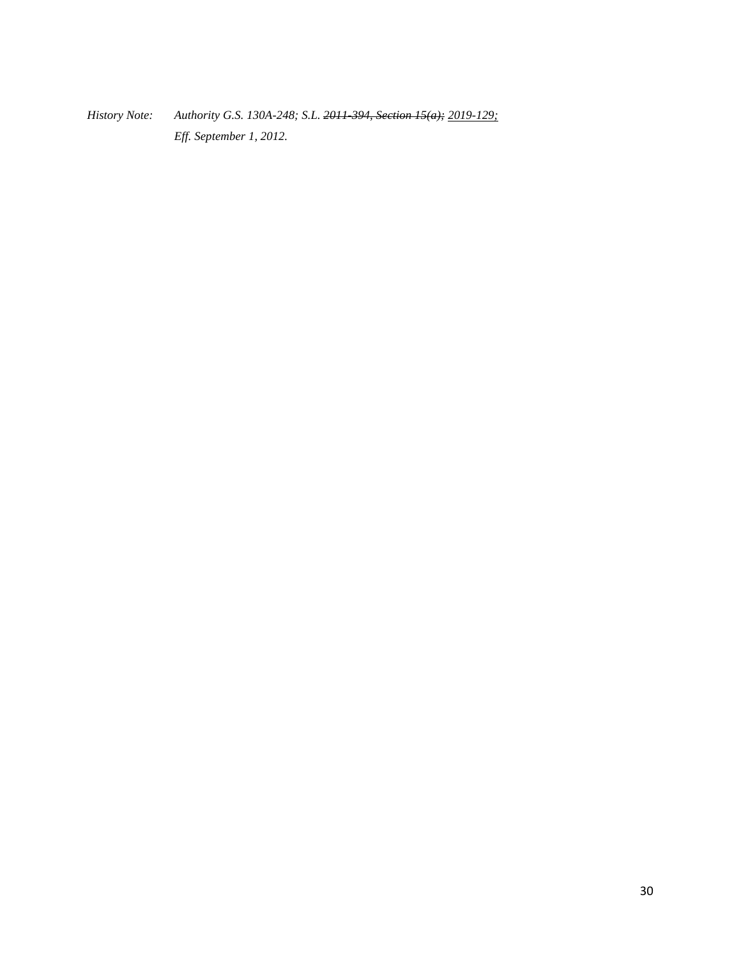*History Note: Authority G.S. 130A-248; S.L. 2011-394, Section 15(a); 2019-129; Eff. September 1, 2012.*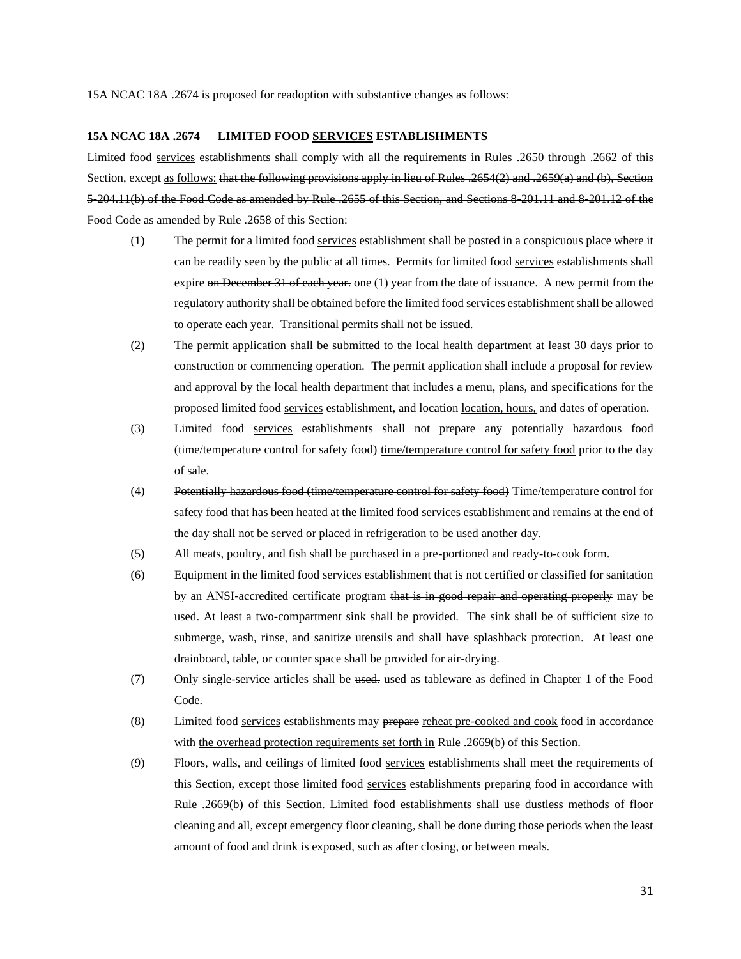15A NCAC 18A .2674 is proposed for readoption with substantive changes as follows:

#### **15A NCAC 18A .2674 LIMITED FOOD SERVICES ESTABLISHMENTS**

Limited food services establishments shall comply with all the requirements in Rules .2650 through .2662 of this Section, except as follows: that the following provisions apply in lieu of Rules .2654(2) and .2659(a) and (b), Section 5-204.11(b) of the Food Code as amended by Rule .2655 of this Section, and Sections 8-201.11 and 8-201.12 of the Food Code as amended by Rule .2658 of this Section:

- (1) The permit for a limited food services establishment shall be posted in a conspicuous place where it can be readily seen by the public at all times. Permits for limited food services establishments shall expire on December 31 of each year. one  $(1)$  year from the date of issuance. A new permit from the regulatory authority shall be obtained before the limited food services establishment shall be allowed to operate each year. Transitional permits shall not be issued.
- (2) The permit application shall be submitted to the local health department at least 30 days prior to construction or commencing operation. The permit application shall include a proposal for review and approval by the local health department that includes a menu, plans, and specifications for the proposed limited food services establishment, and location location, hours, and dates of operation.
- (3) Limited food services establishments shall not prepare any potentially hazardous food (time/temperature control for safety food) time/temperature control for safety food prior to the day of sale.
- (4) Potentially hazardous food (time/temperature control for safety food) Time/temperature control for safety food that has been heated at the limited food services establishment and remains at the end of the day shall not be served or placed in refrigeration to be used another day.
- (5) All meats, poultry, and fish shall be purchased in a pre-portioned and ready-to-cook form.
- (6) Equipment in the limited food services establishment that is not certified or classified for sanitation by an ANSI-accredited certificate program that is in good repair and operating properly may be used. At least a two-compartment sink shall be provided. The sink shall be of sufficient size to submerge, wash, rinse, and sanitize utensils and shall have splashback protection. At least one drainboard, table, or counter space shall be provided for air-drying.
- (7) Only single-service articles shall be used. used as tableware as defined in Chapter 1 of the Food Code.
- (8) Limited food services establishments may prepare reheat pre-cooked and cook food in accordance with the overhead protection requirements set forth in Rule .2669(b) of this Section.
- (9) Floors, walls, and ceilings of limited food services establishments shall meet the requirements of this Section, except those limited food services establishments preparing food in accordance with Rule .2669(b) of this Section. Limited food establishments shall use dustless methods of floor cleaning and all, except emergency floor cleaning, shall be done during those periods when the least amount of food and drink is exposed, such as after closing, or between meals.